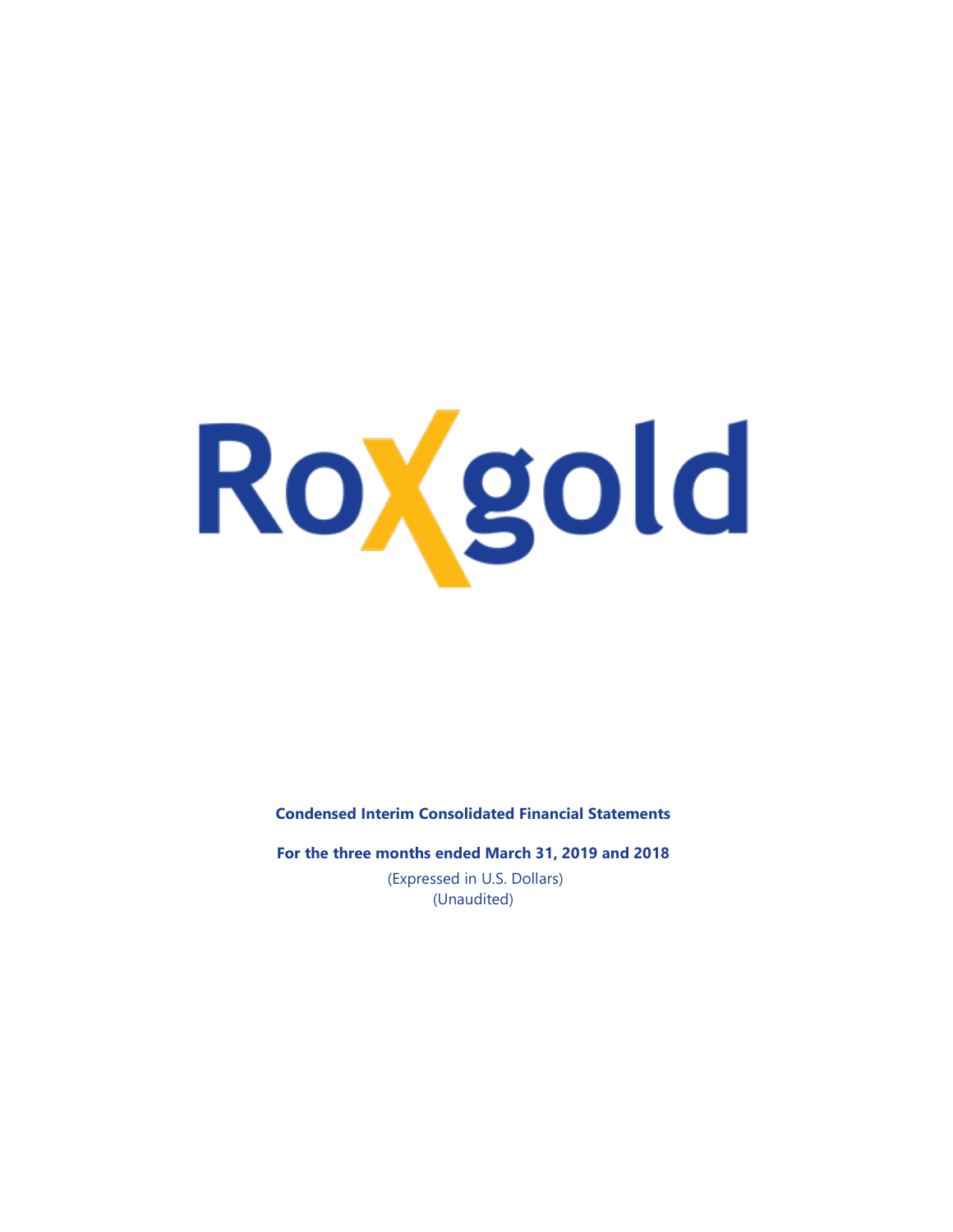

**Condensed Interim Consolidated Financial Statements**

**For the three months ended March 31, 2019 and 2018** (Expressed in U.S. Dollars) (Unaudited)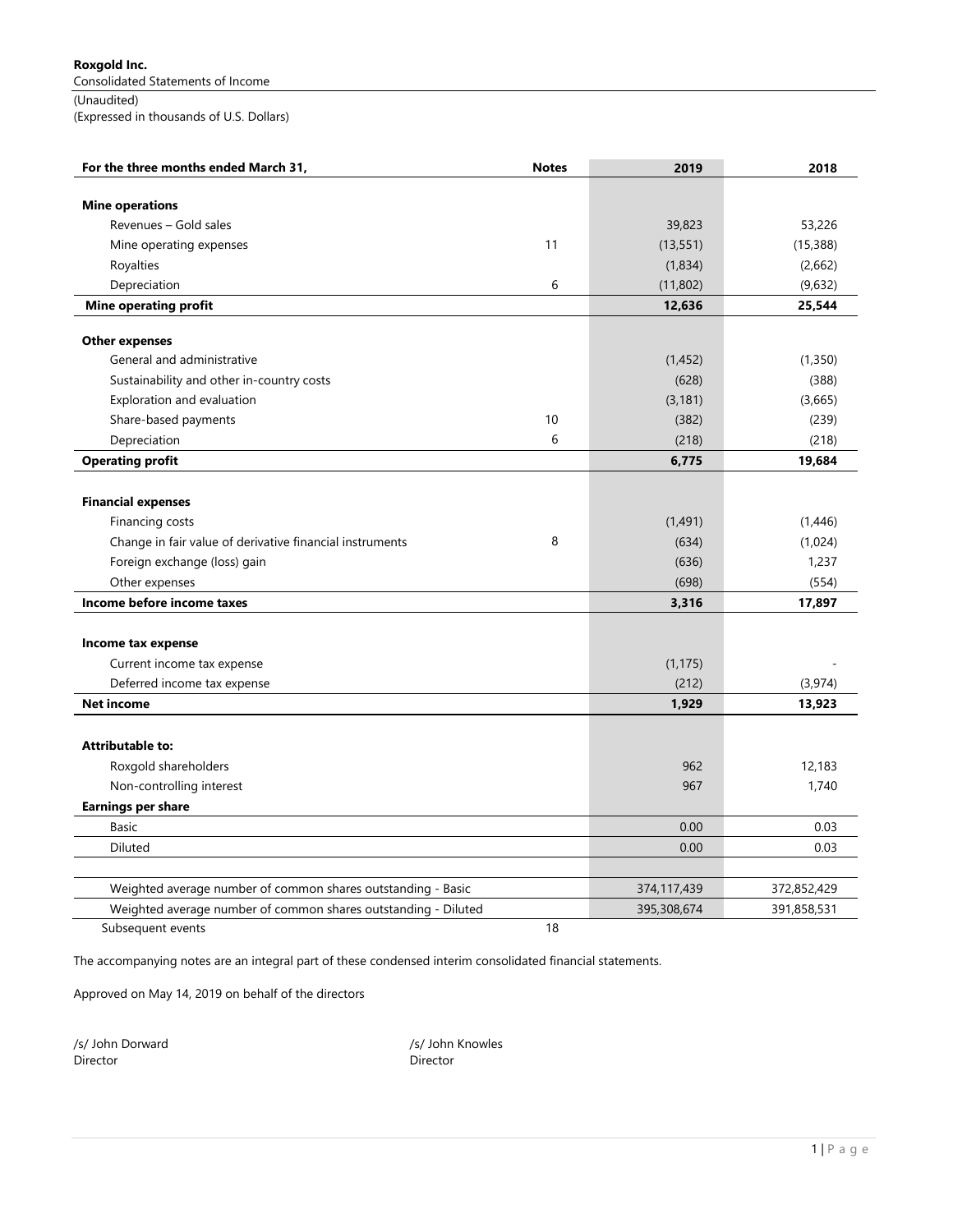Consolidated Statements of Income

# (Unaudited)

(Expressed in thousands of U.S. Dollars)

| For the three months ended March 31,                           | <b>Notes</b> | 2019        | 2018        |
|----------------------------------------------------------------|--------------|-------------|-------------|
| <b>Mine operations</b>                                         |              |             |             |
| Revenues - Gold sales                                          |              | 39,823      | 53,226      |
| Mine operating expenses                                        | 11           | (13, 551)   | (15, 388)   |
| Royalties                                                      |              | (1,834)     | (2,662)     |
| Depreciation                                                   | 6            | (11, 802)   | (9,632)     |
| <b>Mine operating profit</b>                                   |              | 12,636      | 25,544      |
|                                                                |              |             |             |
| <b>Other expenses</b>                                          |              |             |             |
| General and administrative                                     |              | (1,452)     | (1,350)     |
| Sustainability and other in-country costs                      |              | (628)       | (388)       |
| Exploration and evaluation                                     |              | (3, 181)    | (3,665)     |
| Share-based payments                                           | 10           | (382)       | (239)       |
| Depreciation                                                   | 6            | (218)       | (218)       |
| <b>Operating profit</b>                                        |              | 6,775       | 19,684      |
|                                                                |              |             |             |
| <b>Financial expenses</b>                                      |              |             |             |
| Financing costs                                                |              | (1,491)     | (1,446)     |
| Change in fair value of derivative financial instruments       | 8            | (634)       | (1,024)     |
| Foreign exchange (loss) gain                                   |              | (636)       | 1,237       |
| Other expenses                                                 |              | (698)       | (554)       |
| Income before income taxes                                     |              | 3,316       | 17,897      |
| Income tax expense                                             |              |             |             |
| Current income tax expense                                     |              | (1, 175)    |             |
| Deferred income tax expense                                    |              | (212)       | (3, 974)    |
| <b>Net income</b>                                              |              | 1,929       | 13,923      |
|                                                                |              |             |             |
| <b>Attributable to:</b>                                        |              |             |             |
| Roxgold shareholders                                           |              | 962         | 12,183      |
| Non-controlling interest                                       |              | 967         | 1,740       |
| <b>Earnings per share</b>                                      |              |             |             |
| <b>Basic</b>                                                   |              | 0.00        | 0.03        |
| Diluted                                                        |              | 0.00        | 0.03        |
|                                                                |              |             |             |
| Weighted average number of common shares outstanding - Basic   |              | 374,117,439 | 372,852,429 |
| Weighted average number of common shares outstanding - Diluted |              | 395,308,674 | 391,858,531 |
| Subsequent events                                              | 18           |             |             |

The accompanying notes are an integral part of these condensed interim consolidated financial statements.

Approved on May 14, 2019 on behalf of the directors

| /s/ John Dorward |  |
|------------------|--|
| Director         |  |

/s/ John Knowles Director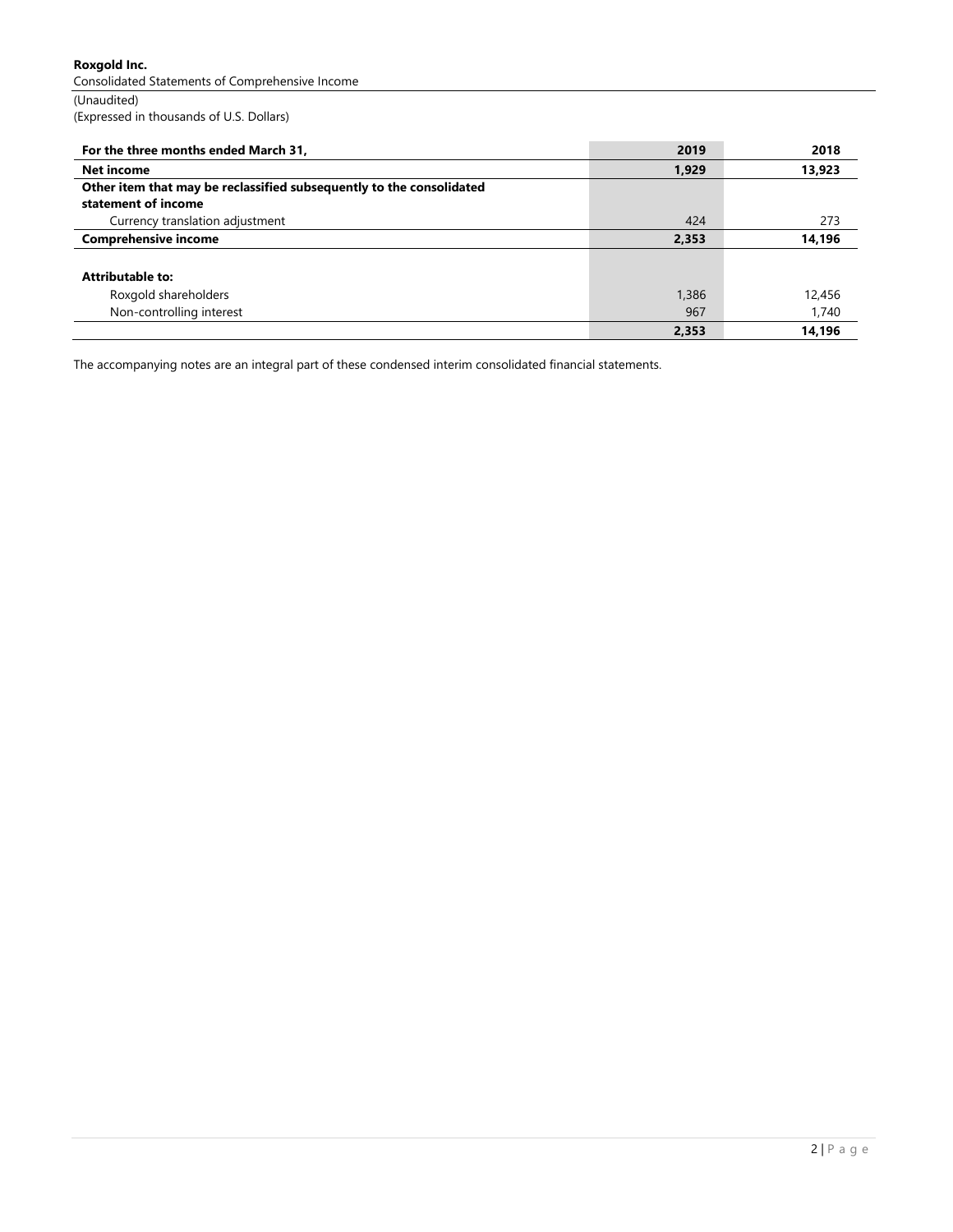Consolidated Statements of Comprehensive Income (Unaudited) (Expressed in thousands of U.S. Dollars)

| For the three months ended March 31,                                                        | 2019  | 2018   |
|---------------------------------------------------------------------------------------------|-------|--------|
| Net income                                                                                  | 1.929 | 13,923 |
| Other item that may be reclassified subsequently to the consolidated<br>statement of income |       |        |
| Currency translation adjustment                                                             | 424   | 273    |
| <b>Comprehensive income</b>                                                                 | 2,353 | 14,196 |
| Attributable to:                                                                            |       |        |
| Roxgold shareholders                                                                        | 1,386 | 12,456 |
| Non-controlling interest                                                                    | 967   | 1,740  |
|                                                                                             | 2,353 | 14.196 |

The accompanying notes are an integral part of these condensed interim consolidated financial statements.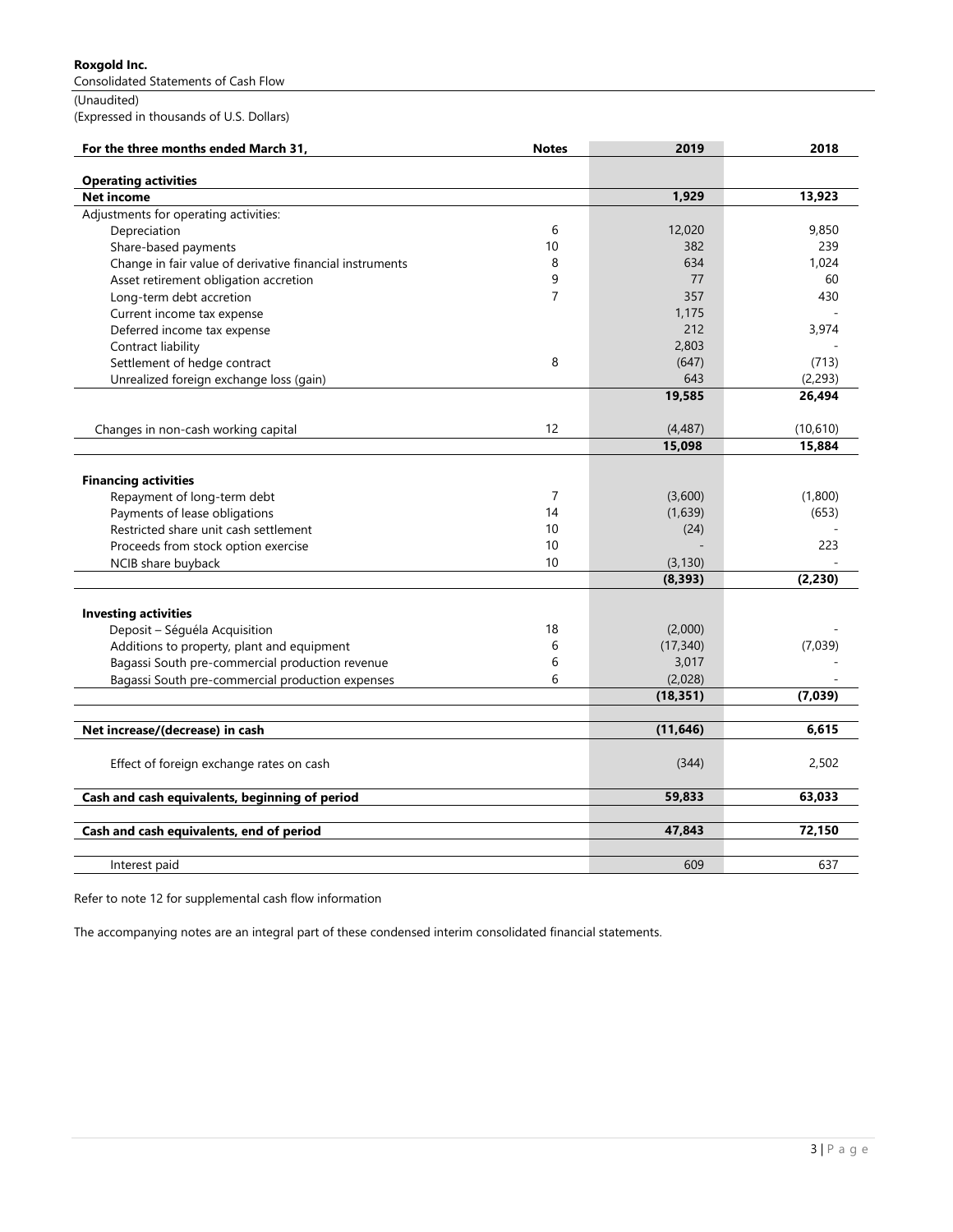Consolidated Statements of Cash Flow (Unaudited)

(Expressed in thousands of U.S. Dollars)

| For the three months ended March 31,                     | <b>Notes</b>   | 2019      | 2018     |
|----------------------------------------------------------|----------------|-----------|----------|
| <b>Operating activities</b>                              |                |           |          |
| <b>Net income</b>                                        |                | 1,929     | 13,923   |
| Adjustments for operating activities:                    |                |           |          |
| Depreciation                                             | 6              | 12,020    | 9,850    |
| Share-based payments                                     | 10             | 382       | 239      |
| Change in fair value of derivative financial instruments | 8              | 634       | 1.024    |
| Asset retirement obligation accretion                    | 9              | 77        | 60       |
| Long-term debt accretion                                 | $\overline{7}$ | 357       | 430      |
| Current income tax expense                               |                | 1,175     |          |
| Deferred income tax expense                              |                | 212       | 3,974    |
| Contract liability                                       |                | 2,803     |          |
| Settlement of hedge contract                             | 8              | (647)     | (713)    |
| Unrealized foreign exchange loss (gain)                  |                | 643       | (2, 293) |
|                                                          |                | 19,585    | 26,494   |
| Changes in non-cash working capital                      | 12             | (4, 487)  | (10,610) |
|                                                          |                | 15,098    | 15,884   |
|                                                          |                |           |          |
| <b>Financing activities</b>                              |                |           |          |
| Repayment of long-term debt                              | $\overline{7}$ | (3,600)   | (1,800)  |
| Payments of lease obligations                            | 14             | (1,639)   | (653)    |
| Restricted share unit cash settlement                    | 10             | (24)      |          |
| Proceeds from stock option exercise                      | 10             |           | 223      |
| NCIB share buyback                                       | 10             | (3, 130)  |          |
|                                                          |                | (8, 393)  | (2, 230) |
| <b>Investing activities</b>                              |                |           |          |
| Deposit - Séguéla Acquisition                            | 18             | (2,000)   |          |
| Additions to property, plant and equipment               | 6              | (17, 340) | (7,039)  |
| Bagassi South pre-commercial production revenue          | 6              | 3,017     |          |
| Bagassi South pre-commercial production expenses         | 6              | (2,028)   |          |
|                                                          |                | (18, 351) | (7,039)  |
| Net increase/(decrease) in cash                          |                | (11, 646) | 6,615    |
|                                                          |                |           |          |
| Effect of foreign exchange rates on cash                 |                | (344)     | 2,502    |
| Cash and cash equivalents, beginning of period           |                | 59,833    | 63,033   |
| Cash and cash equivalents, end of period                 |                | 47,843    | 72,150   |
|                                                          |                |           |          |
| Interest paid                                            |                | 609       | 637      |

Refer to note 12 for supplemental cash flow information

The accompanying notes are an integral part of these condensed interim consolidated financial statements.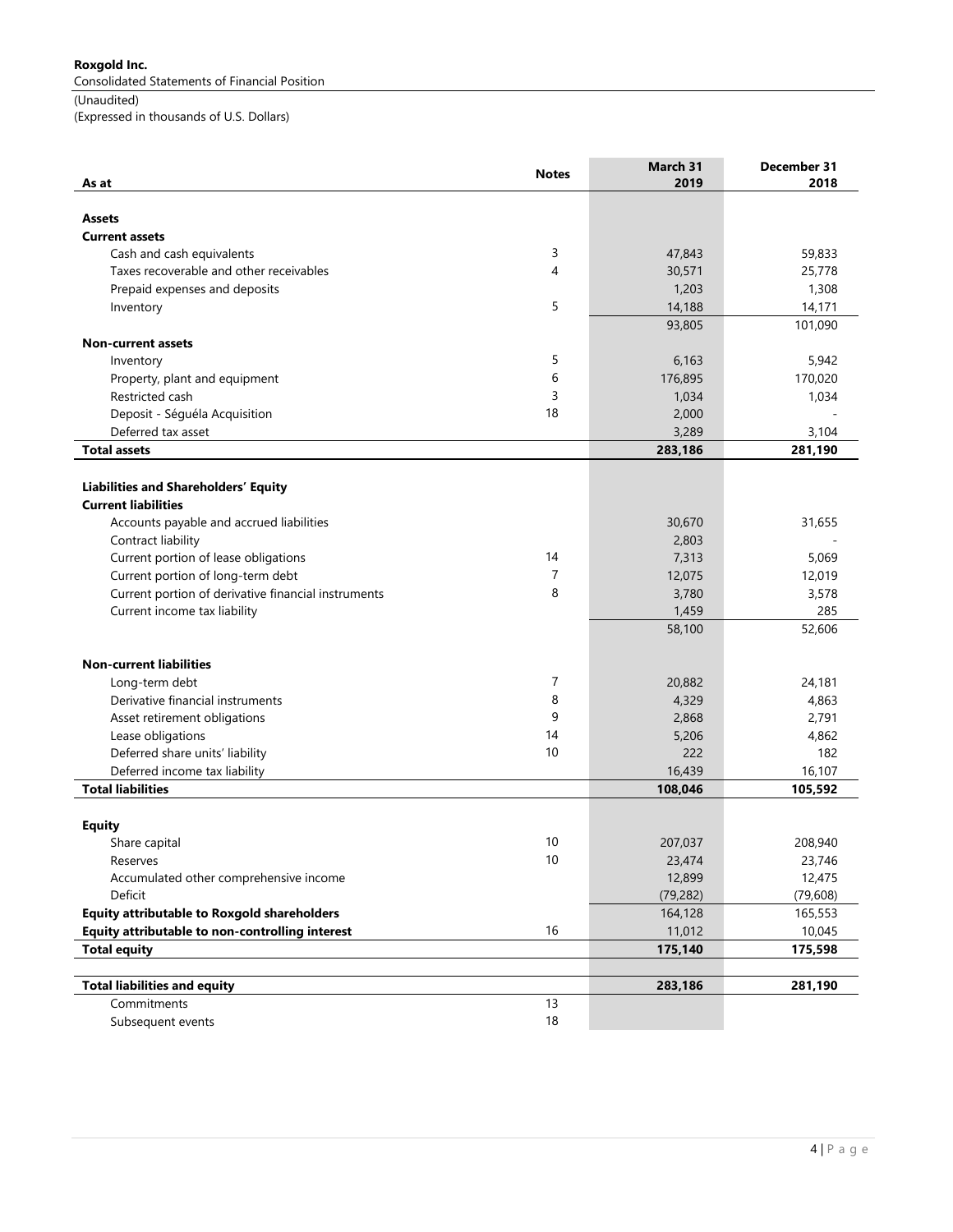Consolidated Statements of Financial Position

# (Unaudited)

(Expressed in thousands of U.S. Dollars)

|                                                      | <b>Notes</b> | <b>March 31</b> | December 31    |
|------------------------------------------------------|--------------|-----------------|----------------|
| As at                                                |              | 2019            | 2018           |
| <b>Assets</b>                                        |              |                 |                |
| <b>Current assets</b>                                |              |                 |                |
| Cash and cash equivalents                            | 3            | 47,843          | 59,833         |
| Taxes recoverable and other receivables              | 4            | 30,571          | 25,778         |
| Prepaid expenses and deposits                        |              | 1,203           | 1,308          |
| Inventory                                            | 5            | 14,188          | 14,171         |
|                                                      |              | 93,805          | 101,090        |
| <b>Non-current assets</b>                            |              |                 |                |
| Inventory                                            | 5            | 6,163           | 5,942          |
| Property, plant and equipment                        | 6            | 176,895         | 170,020        |
| Restricted cash                                      | 3            | 1,034           | 1,034          |
| Deposit - Séguéla Acquisition                        | 18           | 2,000           |                |
| Deferred tax asset                                   |              | 3,289           | 3,104          |
| <b>Total assets</b>                                  |              | 283,186         | 281,190        |
|                                                      |              |                 |                |
| <b>Liabilities and Shareholders' Equity</b>          |              |                 |                |
| <b>Current liabilities</b>                           |              |                 |                |
| Accounts payable and accrued liabilities             |              | 30,670          | 31,655         |
| Contract liability                                   |              | 2,803           |                |
| Current portion of lease obligations                 | 14           | 7,313           | 5,069          |
| Current portion of long-term debt                    | 7            | 12,075          | 12,019         |
| Current portion of derivative financial instruments  | 8            | 3,780           | 3,578          |
| Current income tax liability                         |              | 1,459           | 285            |
|                                                      |              | 58,100          | 52,606         |
|                                                      |              |                 |                |
| <b>Non-current liabilities</b>                       |              |                 |                |
| Long-term debt                                       | 7<br>8       | 20,882          | 24,181         |
| Derivative financial instruments                     | 9            | 4,329           | 4,863          |
| Asset retirement obligations                         | 14           | 2,868<br>5,206  | 2,791<br>4,862 |
| Lease obligations<br>Deferred share units' liability | 10           | 222             | 182            |
| Deferred income tax liability                        |              | 16,439          | 16,107         |
| <b>Total liabilities</b>                             |              | 108,046         | 105,592        |
|                                                      |              |                 |                |
| <b>Equity</b>                                        |              |                 |                |
| Share capital                                        | 10           | 207,037         | 208,940        |
| Reserves                                             | $10$         | 23,474          | 23,746         |
| Accumulated other comprehensive income               |              | 12,899          | 12,475         |
| Deficit                                              |              | (79, 282)       | (79, 608)      |
| <b>Equity attributable to Roxgold shareholders</b>   |              | 164,128         | 165,553        |
| Equity attributable to non-controlling interest      | 16           | 11,012          | 10,045         |
| <b>Total equity</b>                                  |              | 175,140         | 175,598        |
|                                                      |              |                 |                |
| <b>Total liabilities and equity</b>                  |              | 283,186         | 281,190        |
| Commitments                                          | 13           |                 |                |
| Subsequent events                                    | 18           |                 |                |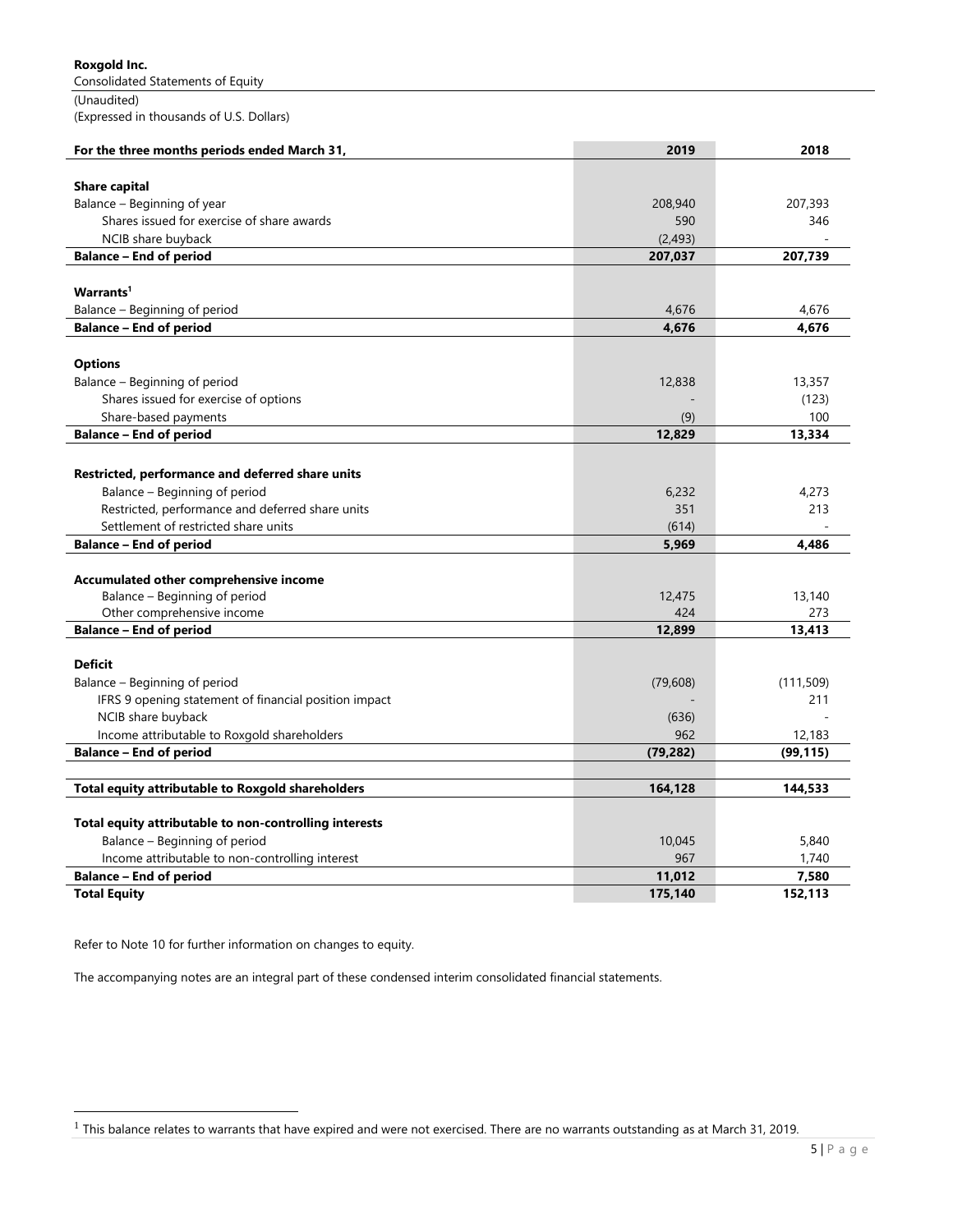| <b>Share capital</b><br>Balance - Beginning of year<br>207,393<br>208,940<br>Shares issued for exercise of share awards<br>590<br>346<br>NCIB share buyback<br>(2, 493)<br><b>Balance - End of period</b><br>207,037<br>207,739<br>Warrants <sup>1</sup><br>Balance - Beginning of period<br>4,676<br>4,676<br><b>Balance - End of period</b><br>4,676<br>4,676<br><b>Options</b><br>Balance - Beginning of period<br>13,357<br>12,838<br>Shares issued for exercise of options<br>(123)<br>Share-based payments<br>(9)<br>100<br><b>Balance - End of period</b><br>12,829<br>13,334<br>Restricted, performance and deferred share units<br>Balance - Beginning of period<br>6,232<br>4,273<br>Restricted, performance and deferred share units<br>213<br>351<br>Settlement of restricted share units<br>(614)<br><b>Balance - End of period</b><br>5,969<br>4,486<br>Accumulated other comprehensive income<br>Balance - Beginning of period<br>12,475<br>13,140<br>Other comprehensive income<br>424<br>273<br><b>Balance - End of period</b><br>12,899<br>13,413<br><b>Deficit</b><br>Balance - Beginning of period<br>(79, 608)<br>(111,509)<br>IFRS 9 opening statement of financial position impact<br>211<br>NCIB share buyback<br>(636)<br>Income attributable to Roxgold shareholders<br>962<br>12,183<br><b>Balance - End of period</b><br>(79, 282)<br>(99, 115)<br>Total equity attributable to Roxgold shareholders<br>164,128<br>144,533<br>Total equity attributable to non-controlling interests<br>Balance - Beginning of period<br>10,045<br>5,840<br>Income attributable to non-controlling interest<br>967<br>1,740<br><b>Balance - End of period</b><br>11,012<br>7,580 | For the three months periods ended March 31, | 2019    | 2018    |
|----------------------------------------------------------------------------------------------------------------------------------------------------------------------------------------------------------------------------------------------------------------------------------------------------------------------------------------------------------------------------------------------------------------------------------------------------------------------------------------------------------------------------------------------------------------------------------------------------------------------------------------------------------------------------------------------------------------------------------------------------------------------------------------------------------------------------------------------------------------------------------------------------------------------------------------------------------------------------------------------------------------------------------------------------------------------------------------------------------------------------------------------------------------------------------------------------------------------------------------------------------------------------------------------------------------------------------------------------------------------------------------------------------------------------------------------------------------------------------------------------------------------------------------------------------------------------------------------------------------------------------------------------------------------------------------------|----------------------------------------------|---------|---------|
|                                                                                                                                                                                                                                                                                                                                                                                                                                                                                                                                                                                                                                                                                                                                                                                                                                                                                                                                                                                                                                                                                                                                                                                                                                                                                                                                                                                                                                                                                                                                                                                                                                                                                              |                                              |         |         |
|                                                                                                                                                                                                                                                                                                                                                                                                                                                                                                                                                                                                                                                                                                                                                                                                                                                                                                                                                                                                                                                                                                                                                                                                                                                                                                                                                                                                                                                                                                                                                                                                                                                                                              |                                              |         |         |
|                                                                                                                                                                                                                                                                                                                                                                                                                                                                                                                                                                                                                                                                                                                                                                                                                                                                                                                                                                                                                                                                                                                                                                                                                                                                                                                                                                                                                                                                                                                                                                                                                                                                                              |                                              |         |         |
|                                                                                                                                                                                                                                                                                                                                                                                                                                                                                                                                                                                                                                                                                                                                                                                                                                                                                                                                                                                                                                                                                                                                                                                                                                                                                                                                                                                                                                                                                                                                                                                                                                                                                              |                                              |         |         |
|                                                                                                                                                                                                                                                                                                                                                                                                                                                                                                                                                                                                                                                                                                                                                                                                                                                                                                                                                                                                                                                                                                                                                                                                                                                                                                                                                                                                                                                                                                                                                                                                                                                                                              |                                              |         |         |
|                                                                                                                                                                                                                                                                                                                                                                                                                                                                                                                                                                                                                                                                                                                                                                                                                                                                                                                                                                                                                                                                                                                                                                                                                                                                                                                                                                                                                                                                                                                                                                                                                                                                                              |                                              |         |         |
|                                                                                                                                                                                                                                                                                                                                                                                                                                                                                                                                                                                                                                                                                                                                                                                                                                                                                                                                                                                                                                                                                                                                                                                                                                                                                                                                                                                                                                                                                                                                                                                                                                                                                              |                                              |         |         |
|                                                                                                                                                                                                                                                                                                                                                                                                                                                                                                                                                                                                                                                                                                                                                                                                                                                                                                                                                                                                                                                                                                                                                                                                                                                                                                                                                                                                                                                                                                                                                                                                                                                                                              |                                              |         |         |
|                                                                                                                                                                                                                                                                                                                                                                                                                                                                                                                                                                                                                                                                                                                                                                                                                                                                                                                                                                                                                                                                                                                                                                                                                                                                                                                                                                                                                                                                                                                                                                                                                                                                                              |                                              |         |         |
|                                                                                                                                                                                                                                                                                                                                                                                                                                                                                                                                                                                                                                                                                                                                                                                                                                                                                                                                                                                                                                                                                                                                                                                                                                                                                                                                                                                                                                                                                                                                                                                                                                                                                              |                                              |         |         |
|                                                                                                                                                                                                                                                                                                                                                                                                                                                                                                                                                                                                                                                                                                                                                                                                                                                                                                                                                                                                                                                                                                                                                                                                                                                                                                                                                                                                                                                                                                                                                                                                                                                                                              |                                              |         |         |
|                                                                                                                                                                                                                                                                                                                                                                                                                                                                                                                                                                                                                                                                                                                                                                                                                                                                                                                                                                                                                                                                                                                                                                                                                                                                                                                                                                                                                                                                                                                                                                                                                                                                                              |                                              |         |         |
|                                                                                                                                                                                                                                                                                                                                                                                                                                                                                                                                                                                                                                                                                                                                                                                                                                                                                                                                                                                                                                                                                                                                                                                                                                                                                                                                                                                                                                                                                                                                                                                                                                                                                              |                                              |         |         |
|                                                                                                                                                                                                                                                                                                                                                                                                                                                                                                                                                                                                                                                                                                                                                                                                                                                                                                                                                                                                                                                                                                                                                                                                                                                                                                                                                                                                                                                                                                                                                                                                                                                                                              |                                              |         |         |
|                                                                                                                                                                                                                                                                                                                                                                                                                                                                                                                                                                                                                                                                                                                                                                                                                                                                                                                                                                                                                                                                                                                                                                                                                                                                                                                                                                                                                                                                                                                                                                                                                                                                                              |                                              |         |         |
|                                                                                                                                                                                                                                                                                                                                                                                                                                                                                                                                                                                                                                                                                                                                                                                                                                                                                                                                                                                                                                                                                                                                                                                                                                                                                                                                                                                                                                                                                                                                                                                                                                                                                              |                                              |         |         |
|                                                                                                                                                                                                                                                                                                                                                                                                                                                                                                                                                                                                                                                                                                                                                                                                                                                                                                                                                                                                                                                                                                                                                                                                                                                                                                                                                                                                                                                                                                                                                                                                                                                                                              |                                              |         |         |
|                                                                                                                                                                                                                                                                                                                                                                                                                                                                                                                                                                                                                                                                                                                                                                                                                                                                                                                                                                                                                                                                                                                                                                                                                                                                                                                                                                                                                                                                                                                                                                                                                                                                                              |                                              |         |         |
|                                                                                                                                                                                                                                                                                                                                                                                                                                                                                                                                                                                                                                                                                                                                                                                                                                                                                                                                                                                                                                                                                                                                                                                                                                                                                                                                                                                                                                                                                                                                                                                                                                                                                              |                                              |         |         |
|                                                                                                                                                                                                                                                                                                                                                                                                                                                                                                                                                                                                                                                                                                                                                                                                                                                                                                                                                                                                                                                                                                                                                                                                                                                                                                                                                                                                                                                                                                                                                                                                                                                                                              |                                              |         |         |
|                                                                                                                                                                                                                                                                                                                                                                                                                                                                                                                                                                                                                                                                                                                                                                                                                                                                                                                                                                                                                                                                                                                                                                                                                                                                                                                                                                                                                                                                                                                                                                                                                                                                                              |                                              |         |         |
|                                                                                                                                                                                                                                                                                                                                                                                                                                                                                                                                                                                                                                                                                                                                                                                                                                                                                                                                                                                                                                                                                                                                                                                                                                                                                                                                                                                                                                                                                                                                                                                                                                                                                              |                                              |         |         |
|                                                                                                                                                                                                                                                                                                                                                                                                                                                                                                                                                                                                                                                                                                                                                                                                                                                                                                                                                                                                                                                                                                                                                                                                                                                                                                                                                                                                                                                                                                                                                                                                                                                                                              |                                              |         |         |
|                                                                                                                                                                                                                                                                                                                                                                                                                                                                                                                                                                                                                                                                                                                                                                                                                                                                                                                                                                                                                                                                                                                                                                                                                                                                                                                                                                                                                                                                                                                                                                                                                                                                                              |                                              |         |         |
|                                                                                                                                                                                                                                                                                                                                                                                                                                                                                                                                                                                                                                                                                                                                                                                                                                                                                                                                                                                                                                                                                                                                                                                                                                                                                                                                                                                                                                                                                                                                                                                                                                                                                              |                                              |         |         |
|                                                                                                                                                                                                                                                                                                                                                                                                                                                                                                                                                                                                                                                                                                                                                                                                                                                                                                                                                                                                                                                                                                                                                                                                                                                                                                                                                                                                                                                                                                                                                                                                                                                                                              |                                              |         |         |
|                                                                                                                                                                                                                                                                                                                                                                                                                                                                                                                                                                                                                                                                                                                                                                                                                                                                                                                                                                                                                                                                                                                                                                                                                                                                                                                                                                                                                                                                                                                                                                                                                                                                                              |                                              |         |         |
|                                                                                                                                                                                                                                                                                                                                                                                                                                                                                                                                                                                                                                                                                                                                                                                                                                                                                                                                                                                                                                                                                                                                                                                                                                                                                                                                                                                                                                                                                                                                                                                                                                                                                              |                                              |         |         |
|                                                                                                                                                                                                                                                                                                                                                                                                                                                                                                                                                                                                                                                                                                                                                                                                                                                                                                                                                                                                                                                                                                                                                                                                                                                                                                                                                                                                                                                                                                                                                                                                                                                                                              |                                              |         |         |
|                                                                                                                                                                                                                                                                                                                                                                                                                                                                                                                                                                                                                                                                                                                                                                                                                                                                                                                                                                                                                                                                                                                                                                                                                                                                                                                                                                                                                                                                                                                                                                                                                                                                                              |                                              |         |         |
|                                                                                                                                                                                                                                                                                                                                                                                                                                                                                                                                                                                                                                                                                                                                                                                                                                                                                                                                                                                                                                                                                                                                                                                                                                                                                                                                                                                                                                                                                                                                                                                                                                                                                              |                                              |         |         |
|                                                                                                                                                                                                                                                                                                                                                                                                                                                                                                                                                                                                                                                                                                                                                                                                                                                                                                                                                                                                                                                                                                                                                                                                                                                                                                                                                                                                                                                                                                                                                                                                                                                                                              |                                              |         |         |
|                                                                                                                                                                                                                                                                                                                                                                                                                                                                                                                                                                                                                                                                                                                                                                                                                                                                                                                                                                                                                                                                                                                                                                                                                                                                                                                                                                                                                                                                                                                                                                                                                                                                                              |                                              |         |         |
|                                                                                                                                                                                                                                                                                                                                                                                                                                                                                                                                                                                                                                                                                                                                                                                                                                                                                                                                                                                                                                                                                                                                                                                                                                                                                                                                                                                                                                                                                                                                                                                                                                                                                              |                                              |         |         |
|                                                                                                                                                                                                                                                                                                                                                                                                                                                                                                                                                                                                                                                                                                                                                                                                                                                                                                                                                                                                                                                                                                                                                                                                                                                                                                                                                                                                                                                                                                                                                                                                                                                                                              |                                              |         |         |
|                                                                                                                                                                                                                                                                                                                                                                                                                                                                                                                                                                                                                                                                                                                                                                                                                                                                                                                                                                                                                                                                                                                                                                                                                                                                                                                                                                                                                                                                                                                                                                                                                                                                                              |                                              |         |         |
|                                                                                                                                                                                                                                                                                                                                                                                                                                                                                                                                                                                                                                                                                                                                                                                                                                                                                                                                                                                                                                                                                                                                                                                                                                                                                                                                                                                                                                                                                                                                                                                                                                                                                              |                                              |         |         |
|                                                                                                                                                                                                                                                                                                                                                                                                                                                                                                                                                                                                                                                                                                                                                                                                                                                                                                                                                                                                                                                                                                                                                                                                                                                                                                                                                                                                                                                                                                                                                                                                                                                                                              |                                              |         |         |
|                                                                                                                                                                                                                                                                                                                                                                                                                                                                                                                                                                                                                                                                                                                                                                                                                                                                                                                                                                                                                                                                                                                                                                                                                                                                                                                                                                                                                                                                                                                                                                                                                                                                                              |                                              |         |         |
|                                                                                                                                                                                                                                                                                                                                                                                                                                                                                                                                                                                                                                                                                                                                                                                                                                                                                                                                                                                                                                                                                                                                                                                                                                                                                                                                                                                                                                                                                                                                                                                                                                                                                              | <b>Total Equity</b>                          | 175,140 | 152,113 |

Refer to Note 10 for further information on changes to equity.

The accompanying notes are an integral part of these condensed interim consolidated financial statements.

 1 This balance relates to warrants that have expired and were not exercised. There are no warrants outstanding as at March 31, 2019.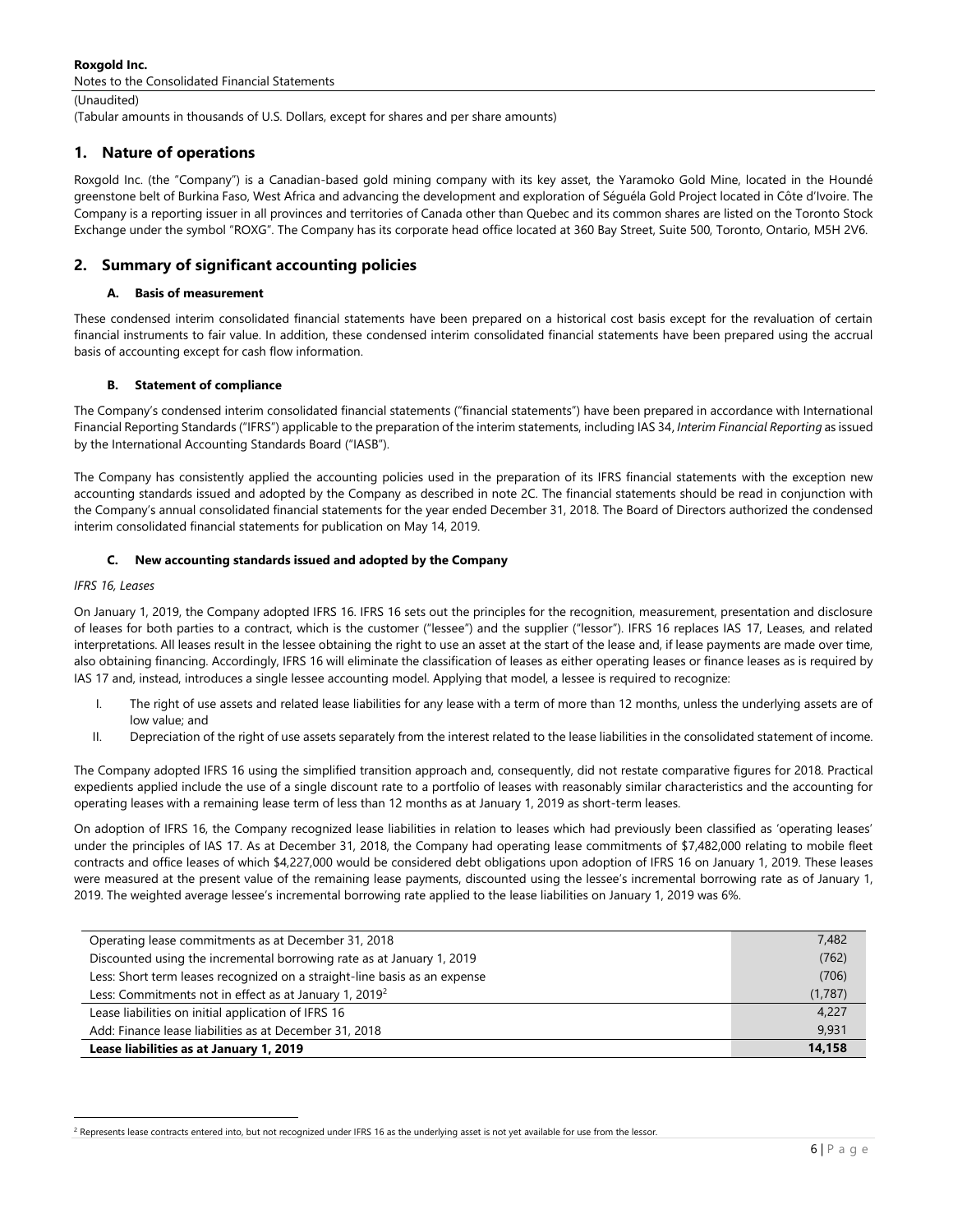(Tabular amounts in thousands of U.S. Dollars, except for shares and per share amounts)

### **1. Nature of operations**

Roxgold Inc. (the "Company") is a Canadian-based gold mining company with its key asset, the Yaramoko Gold Mine, located in the Houndé greenstone belt of Burkina Faso, West Africa and advancing the development and exploration of Séguéla Gold Project located in Côte d'Ivoire. The Company is a reporting issuer in all provinces and territories of Canada other than Quebec and its common shares are listed on the Toronto Stock Exchange under the symbol "ROXG". The Company has its corporate head office located at 360 Bay Street, Suite 500, Toronto, Ontario, M5H 2V6.

# **2. Summary of significant accounting policies**

#### **A. Basis of measurement**

These condensed interim consolidated financial statements have been prepared on a historical cost basis except for the revaluation of certain financial instruments to fair value. In addition, these condensed interim consolidated financial statements have been prepared using the accrual basis of accounting except for cash flow information.

#### **B. Statement of compliance**

The Company's condensed interim consolidated financial statements ("financial statements") have been prepared in accordance with International Financial Reporting Standards ("IFRS") applicable to the preparation of the interim statements, including IAS 34, *Interim Financial Reporting* as issued by the International Accounting Standards Board ("IASB").

The Company has consistently applied the accounting policies used in the preparation of its IFRS financial statements with the exception new accounting standards issued and adopted by the Company as described in note 2C. The financial statements should be read in conjunction with the Company's annual consolidated financial statements for the year ended December 31, 2018. The Board of Directors authorized the condensed interim consolidated financial statements for publication on May 14, 2019.

#### **C. New accounting standards issued and adopted by the Company**

#### *IFRS 16, Leases*

 $\overline{a}$ 

On January 1, 2019, the Company adopted IFRS 16. IFRS 16 sets out the principles for the recognition, measurement, presentation and disclosure of leases for both parties to a contract, which is the customer ("lessee") and the supplier ("lessor"). IFRS 16 replaces IAS 17, Leases, and related interpretations. All leases result in the lessee obtaining the right to use an asset at the start of the lease and, if lease payments are made over time, also obtaining financing. Accordingly, IFRS 16 will eliminate the classification of leases as either operating leases or finance leases as is required by IAS 17 and, instead, introduces a single lessee accounting model. Applying that model, a lessee is required to recognize:

- I. The right of use assets and related lease liabilities for any lease with a term of more than 12 months, unless the underlying assets are of low value; and
- II. Depreciation of the right of use assets separately from the interest related to the lease liabilities in the consolidated statement of income.

The Company adopted IFRS 16 using the simplified transition approach and, consequently, did not restate comparative figures for 2018. Practical expedients applied include the use of a single discount rate to a portfolio of leases with reasonably similar characteristics and the accounting for operating leases with a remaining lease term of less than 12 months as at January 1, 2019 as short-term leases.

On adoption of IFRS 16, the Company recognized lease liabilities in relation to leases which had previously been classified as 'operating leases' under the principles of IAS 17. As at December 31, 2018, the Company had operating lease commitments of \$7,482,000 relating to mobile fleet contracts and office leases of which \$4,227,000 would be considered debt obligations upon adoption of IFRS 16 on January 1, 2019. These leases were measured at the present value of the remaining lease payments, discounted using the lessee's incremental borrowing rate as of January 1, 2019. The weighted average lessee's incremental borrowing rate applied to the lease liabilities on January 1, 2019 was 6%.

| Operating lease commitments as at December 31, 2018                       | 7,482   |
|---------------------------------------------------------------------------|---------|
| Discounted using the incremental borrowing rate as at January 1, 2019     | (762)   |
| Less: Short term leases recognized on a straight-line basis as an expense | (706)   |
| Less: Commitments not in effect as at January 1, 2019 <sup>2</sup>        | (1,787) |
| Lease liabilities on initial application of IFRS 16                       | 4,227   |
| Add: Finance lease liabilities as at December 31, 2018                    | 9,931   |
| Lease liabilities as at January 1, 2019                                   | 14,158  |

<sup>&</sup>lt;sup>2</sup> Represents lease contracts entered into, but not recognized under IFRS 16 as the underlying asset is not yet available for use from the lessor.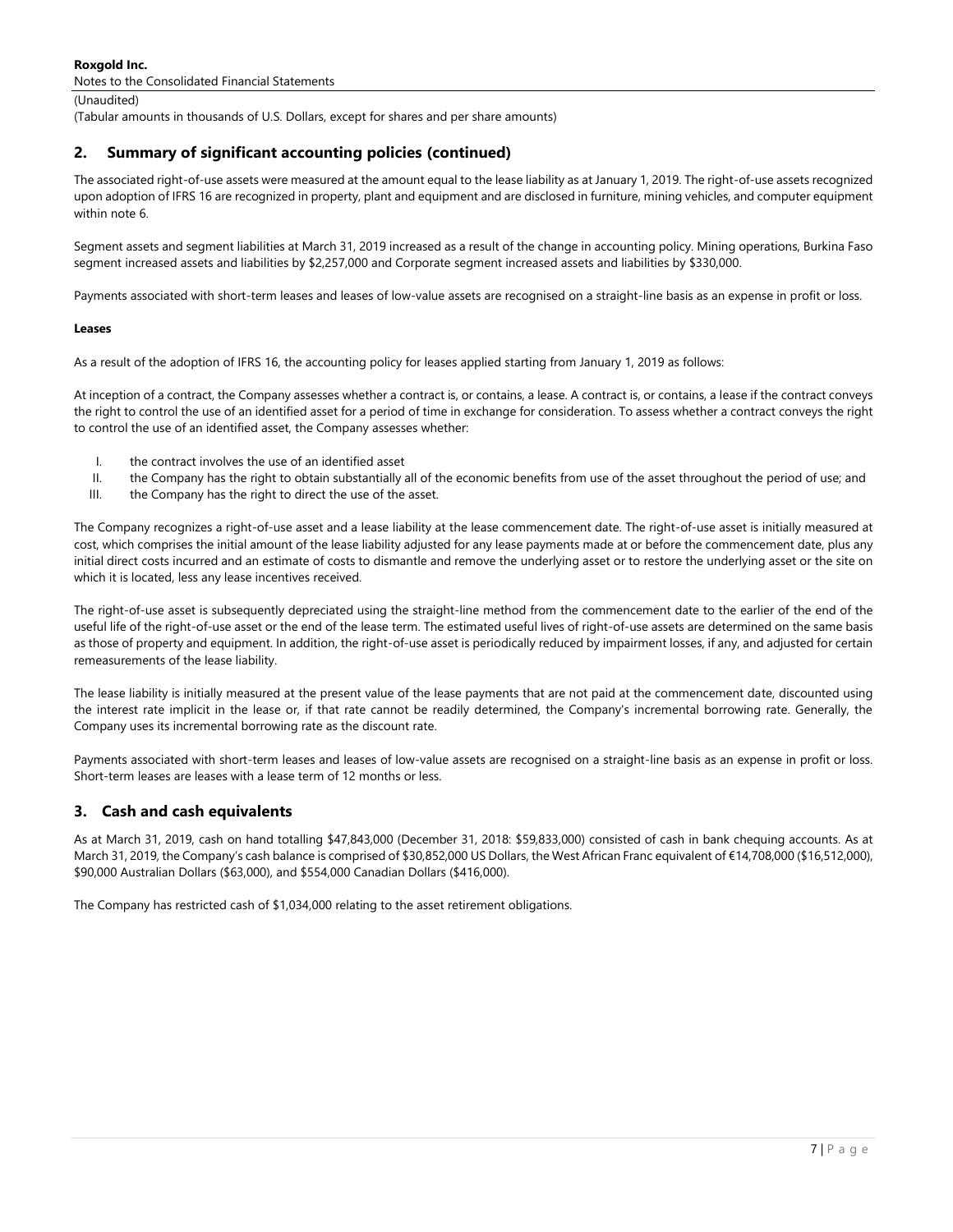(Tabular amounts in thousands of U.S. Dollars, except for shares and per share amounts)

# **2. Summary of significant accounting policies (continued)**

The associated right-of-use assets were measured at the amount equal to the lease liability as at January 1, 2019. The right-of-use assets recognized upon adoption of IFRS 16 are recognized in property, plant and equipment and are disclosed in furniture, mining vehicles, and computer equipment within note 6.

Segment assets and segment liabilities at March 31, 2019 increased as a result of the change in accounting policy. Mining operations, Burkina Faso segment increased assets and liabilities by \$2,257,000 and Corporate segment increased assets and liabilities by \$330,000.

Payments associated with short-term leases and leases of low-value assets are recognised on a straight-line basis as an expense in profit or loss.

#### **Leases**

As a result of the adoption of IFRS 16, the accounting policy for leases applied starting from January 1, 2019 as follows:

At inception of a contract, the Company assesses whether a contract is, or contains, a lease. A contract is, or contains, a lease if the contract conveys the right to control the use of an identified asset for a period of time in exchange for consideration. To assess whether a contract conveys the right to control the use of an identified asset, the Company assesses whether:

- I. the contract involves the use of an identified asset
- II. the Company has the right to obtain substantially all of the economic benefits from use of the asset throughout the period of use; and
- III. the Company has the right to direct the use of the asset.

The Company recognizes a right-of-use asset and a lease liability at the lease commencement date. The right-of-use asset is initially measured at cost, which comprises the initial amount of the lease liability adjusted for any lease payments made at or before the commencement date, plus any initial direct costs incurred and an estimate of costs to dismantle and remove the underlying asset or to restore the underlying asset or the site on which it is located, less any lease incentives received.

The right-of-use asset is subsequently depreciated using the straight-line method from the commencement date to the earlier of the end of the useful life of the right-of-use asset or the end of the lease term. The estimated useful lives of right-of-use assets are determined on the same basis as those of property and equipment. In addition, the right-of-use asset is periodically reduced by impairment losses, if any, and adjusted for certain remeasurements of the lease liability.

The lease liability is initially measured at the present value of the lease payments that are not paid at the commencement date, discounted using the interest rate implicit in the lease or, if that rate cannot be readily determined, the Company's incremental borrowing rate. Generally, the Company uses its incremental borrowing rate as the discount rate.

Payments associated with short-term leases and leases of low-value assets are recognised on a straight-line basis as an expense in profit or loss. Short-term leases are leases with a lease term of 12 months or less.

#### **3. Cash and cash equivalents**

As at March 31, 2019, cash on hand totalling \$47,843,000 (December 31, 2018: \$59,833,000) consisted of cash in bank chequing accounts. As at March 31, 2019, the Company's cash balance is comprised of \$30,852,000 US Dollars, the West African Franc equivalent of €14,708,000 (\$16,512,000), \$90,000 Australian Dollars (\$63,000), and \$554,000 Canadian Dollars (\$416,000).

The Company has restricted cash of \$1,034,000 relating to the asset retirement obligations.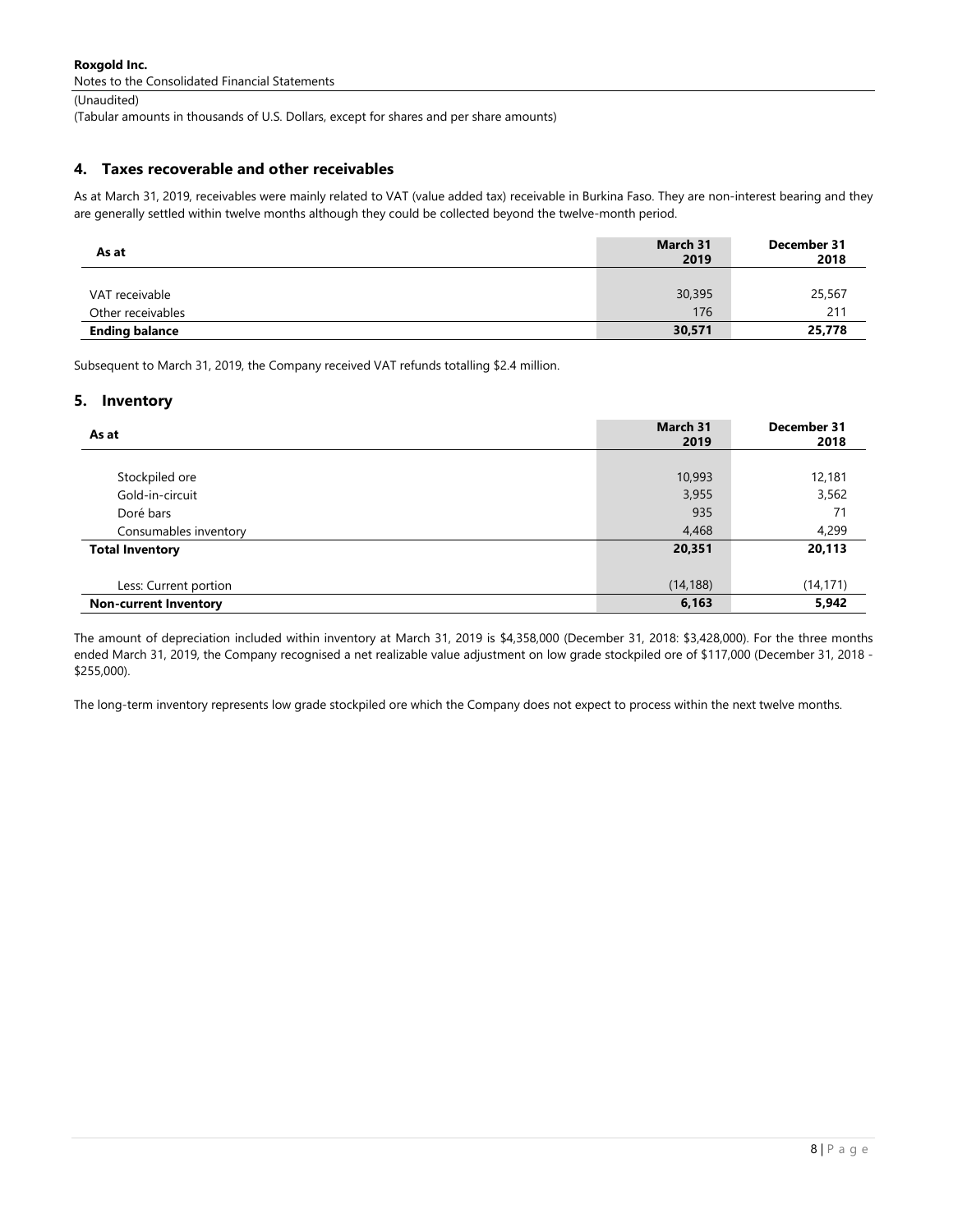(Tabular amounts in thousands of U.S. Dollars, except for shares and per share amounts)

### **4. Taxes recoverable and other receivables**

As at March 31, 2019, receivables were mainly related to VAT (value added tax) receivable in Burkina Faso. They are non-interest bearing and they are generally settled within twelve months although they could be collected beyond the twelve-month period.

| As at                 | March 31<br>2019 | December 31<br>2018 |
|-----------------------|------------------|---------------------|
|                       |                  |                     |
| VAT receivable        | 30,395           | 25,567              |
| Other receivables     | 176              | 211                 |
| <b>Ending balance</b> | 30,571           | 25,778              |

Subsequent to March 31, 2019, the Company received VAT refunds totalling \$2.4 million.

# **5. Inventory**

| As at                        | March 31<br>2019 | December 31<br>2018 |
|------------------------------|------------------|---------------------|
|                              |                  |                     |
| Stockpiled ore               | 10,993           | 12,181              |
| Gold-in-circuit              | 3,955            | 3,562               |
| Doré bars                    | 935              | 71                  |
| Consumables inventory        | 4,468            | 4,299               |
| <b>Total Inventory</b>       | 20,351           | 20,113              |
|                              |                  |                     |
| Less: Current portion        | (14, 188)        | (14, 171)           |
| <b>Non-current Inventory</b> | 6,163            | 5,942               |

The amount of depreciation included within inventory at March 31, 2019 is \$4,358,000 (December 31, 2018: \$3,428,000). For the three months ended March 31, 2019, the Company recognised a net realizable value adjustment on low grade stockpiled ore of \$117,000 (December 31, 2018 - \$255,000).

The long-term inventory represents low grade stockpiled ore which the Company does not expect to process within the next twelve months.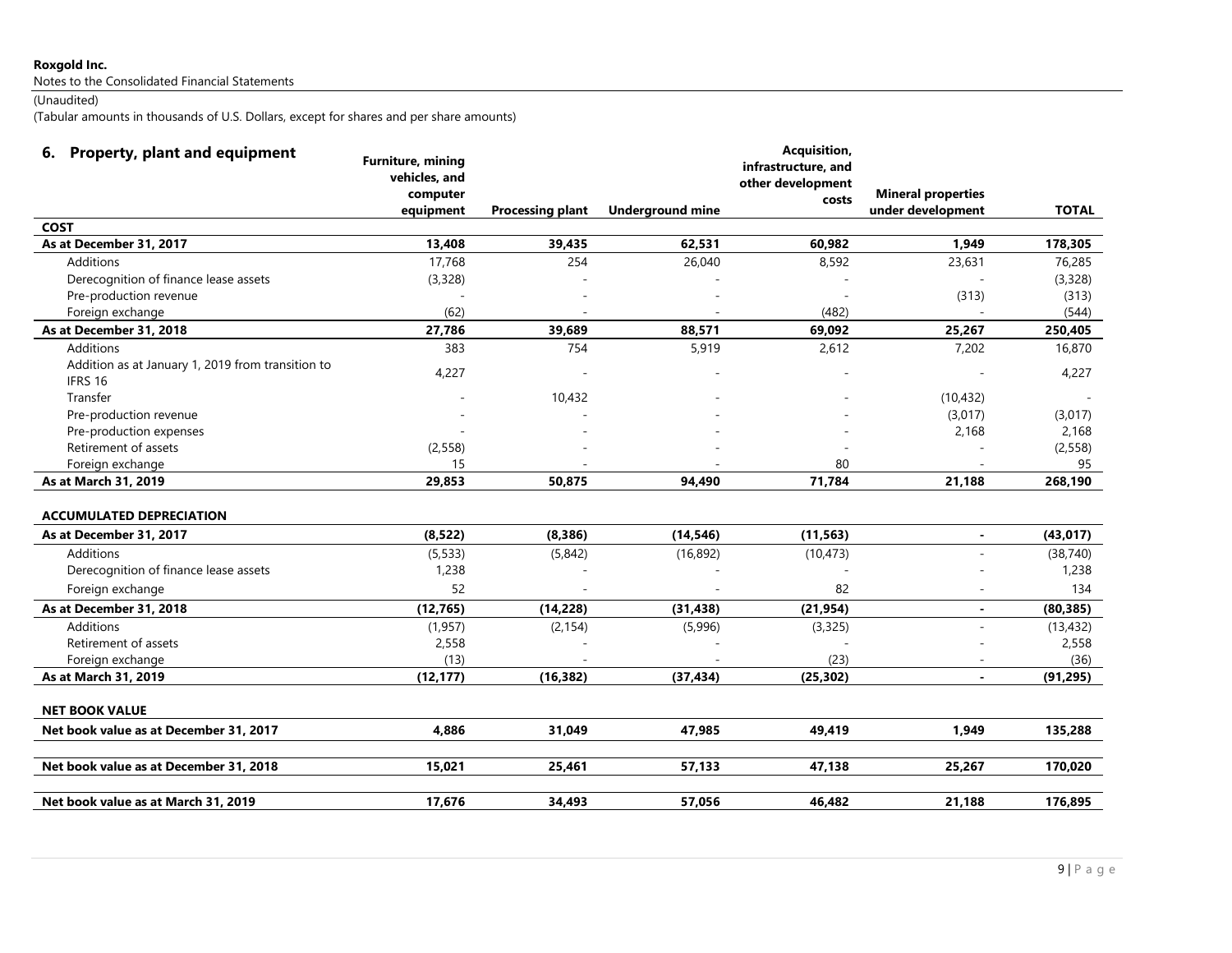Notes to the Consolidated Financial Statements

# (Unaudited)

(Tabular amounts in thousands of U.S. Dollars, except for shares and per share amounts)

|             | 6. Property, plant and equipment                             | <b>Furniture, mining</b><br>vehicles, and<br>computer<br>equipment | <b>Processing plant</b> | <b>Underground mine</b> | Acquisition,<br>infrastructure, and<br>other development<br>costs | <b>Mineral properties</b><br>under development | <b>TOTAL</b> |
|-------------|--------------------------------------------------------------|--------------------------------------------------------------------|-------------------------|-------------------------|-------------------------------------------------------------------|------------------------------------------------|--------------|
| <b>COST</b> |                                                              |                                                                    |                         |                         |                                                                   |                                                |              |
|             | As at December 31, 2017                                      | 13,408                                                             | 39,435                  | 62,531                  | 60,982                                                            | 1,949                                          | 178,305      |
|             | <b>Additions</b>                                             | 17,768                                                             | 254                     | 26,040                  | 8,592                                                             | 23,631                                         | 76,285       |
|             | Derecognition of finance lease assets                        | (3, 328)                                                           |                         |                         |                                                                   |                                                | (3,328)      |
|             | Pre-production revenue                                       |                                                                    |                         |                         |                                                                   | (313)                                          | (313)        |
|             | Foreign exchange                                             | (62)                                                               |                         |                         | (482)                                                             |                                                | (544)        |
|             | As at December 31, 2018                                      | 27,786                                                             | 39,689                  | 88,571                  | 69,092                                                            | 25,267                                         | 250,405      |
|             | <b>Additions</b>                                             | 383                                                                | 754                     | 5,919                   | 2,612                                                             | 7,202                                          | 16,870       |
|             | Addition as at January 1, 2019 from transition to<br>IFRS 16 | 4,227                                                              |                         |                         |                                                                   |                                                | 4,227        |
|             | Transfer                                                     |                                                                    | 10,432                  |                         |                                                                   | (10, 432)                                      |              |
|             | Pre-production revenue                                       |                                                                    |                         |                         |                                                                   | (3,017)                                        | (3,017)      |
|             | Pre-production expenses                                      |                                                                    |                         |                         |                                                                   | 2,168                                          | 2,168        |
|             | Retirement of assets                                         | (2, 558)                                                           |                         |                         |                                                                   |                                                | (2, 558)     |
|             | Foreign exchange                                             | 15                                                                 |                         |                         | 80                                                                |                                                | 95           |
|             | As at March 31, 2019                                         | 29,853                                                             | 50,875                  | 94,490                  | 71,784                                                            | 21,188                                         | 268,190      |
|             | <b>ACCUMULATED DEPRECIATION</b>                              |                                                                    |                         |                         |                                                                   |                                                |              |
|             | As at December 31, 2017                                      | (8, 522)                                                           | (8, 386)                | (14, 546)               | (11, 563)                                                         | $\blacksquare$                                 | (43, 017)    |
|             | Additions                                                    | (5, 533)                                                           | (5,842)                 | (16, 892)               | (10, 473)                                                         |                                                | (38, 740)    |
|             | Derecognition of finance lease assets                        | 1,238                                                              |                         |                         |                                                                   |                                                | 1,238        |
|             | Foreign exchange                                             | 52                                                                 |                         |                         | 82                                                                |                                                | 134          |
|             | As at December 31, 2018                                      | (12, 765)                                                          | (14, 228)               | (31, 438)               | (21, 954)                                                         | $\blacksquare$                                 | (80, 385)    |
|             | <b>Additions</b>                                             | (1, 957)                                                           | (2, 154)                | (5,996)                 | (3, 325)                                                          |                                                | (13, 432)    |
|             | Retirement of assets                                         | 2,558                                                              |                         |                         |                                                                   |                                                | 2,558        |
|             | Foreign exchange                                             | (13)                                                               |                         |                         | (23)                                                              |                                                | (36)         |
|             | As at March 31, 2019                                         | (12, 177)                                                          | (16, 382)               | (37, 434)               | (25, 302)                                                         | $\blacksquare$                                 | (91, 295)    |
|             | <b>NET BOOK VALUE</b>                                        |                                                                    |                         |                         |                                                                   |                                                |              |
|             | Net book value as at December 31, 2017                       | 4,886                                                              | 31,049                  | 47,985                  | 49.419                                                            | 1,949                                          | 135,288      |
|             | Net book value as at December 31, 2018                       | 15,021                                                             | 25,461                  | 57,133                  | 47,138                                                            | 25,267                                         | 170,020      |
|             | Net book value as at March 31, 2019                          | 17,676                                                             | 34,493                  | 57,056                  | 46,482                                                            | 21,188                                         | 176,895      |
|             |                                                              |                                                                    |                         |                         |                                                                   |                                                |              |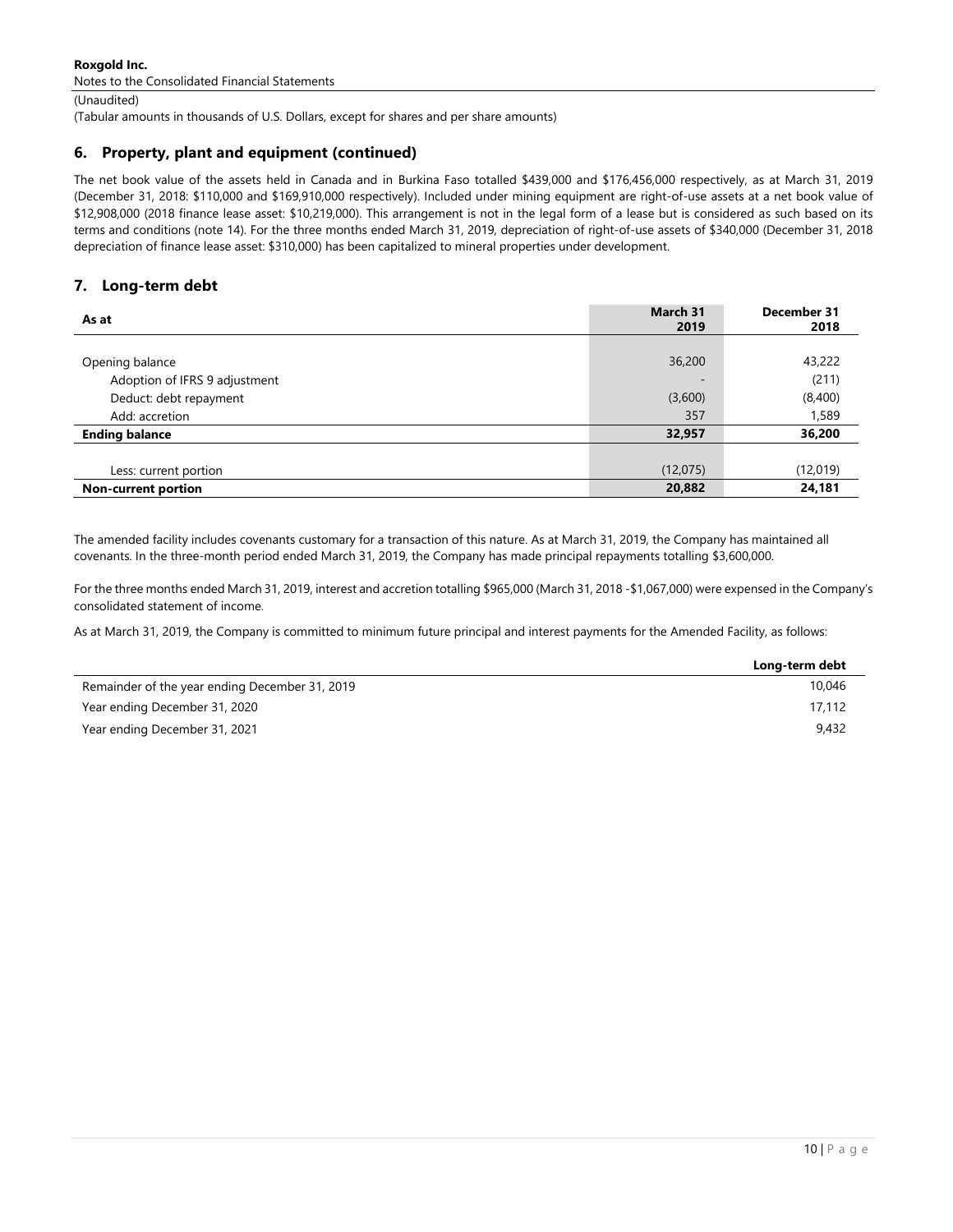(Tabular amounts in thousands of U.S. Dollars, except for shares and per share amounts)

# **6. Property, plant and equipment (continued)**

The net book value of the assets held in Canada and in Burkina Faso totalled \$439,000 and \$176,456,000 respectively, as at March 31, 2019 (December 31, 2018: \$110,000 and \$169,910,000 respectively). Included under mining equipment are right-of-use assets at a net book value of \$12,908,000 (2018 finance lease asset: \$10,219,000). This arrangement is not in the legal form of a lease but is considered as such based on its terms and conditions (note 14). For the three months ended March 31, 2019, depreciation of right-of-use assets of \$340,000 (December 31, 2018 depreciation of finance lease asset: \$310,000) has been capitalized to mineral properties under development.

# **7. Long-term debt**

| As at                         | March 31<br>2019 | December 31<br>2018 |
|-------------------------------|------------------|---------------------|
|                               |                  |                     |
| Opening balance               | 36,200           | 43,222              |
| Adoption of IFRS 9 adjustment | -                | (211)               |
| Deduct: debt repayment        | (3,600)          | (8,400)             |
| Add: accretion                | 357              | 1,589               |
| <b>Ending balance</b>         | 32,957           | 36,200              |
|                               |                  |                     |
| Less: current portion         | (12,075)         | (12,019)            |
| <b>Non-current portion</b>    | 20,882           | 24,181              |

The amended facility includes covenants customary for a transaction of this nature. As at March 31, 2019, the Company has maintained all covenants. In the three-month period ended March 31, 2019, the Company has made principal repayments totalling \$3,600,000.

For the three months ended March 31, 2019, interest and accretion totalling \$965,000 (March 31, 2018 -\$1,067,000) were expensed in the Company's consolidated statement of income.

As at March 31, 2019, the Company is committed to minimum future principal and interest payments for the Amended Facility, as follows:

|                                                | Long-term debt |
|------------------------------------------------|----------------|
| Remainder of the year ending December 31, 2019 | 10,046         |
| Year ending December 31, 2020                  | 17.112         |
| Year ending December 31, 2021                  | 9.432          |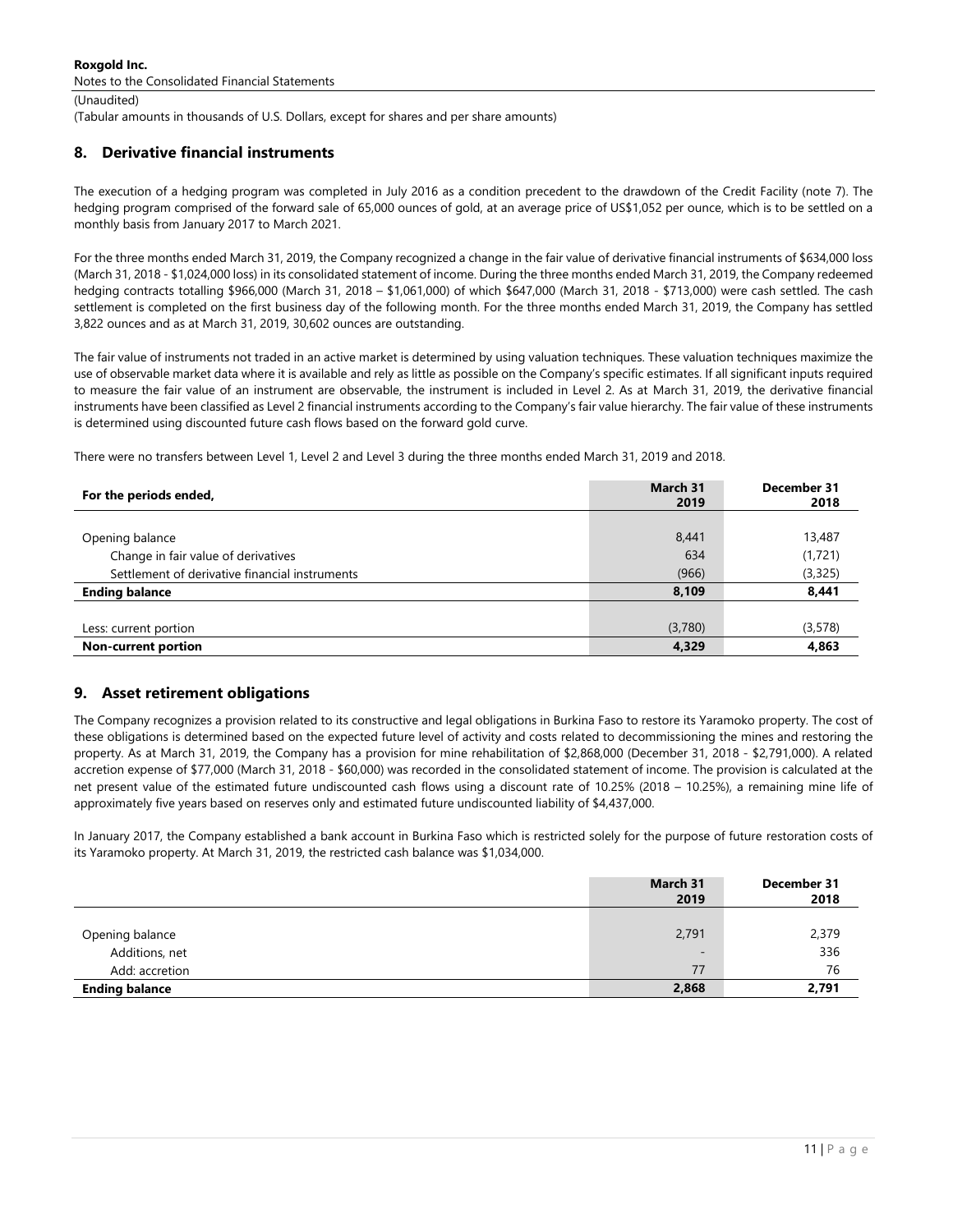(Tabular amounts in thousands of U.S. Dollars, except for shares and per share amounts)

# **8. Derivative financial instruments**

The execution of a hedging program was completed in July 2016 as a condition precedent to the drawdown of the Credit Facility (note 7). The hedging program comprised of the forward sale of 65,000 ounces of gold, at an average price of US\$1,052 per ounce, which is to be settled on a monthly basis from January 2017 to March 2021.

For the three months ended March 31, 2019, the Company recognized a change in the fair value of derivative financial instruments of \$634,000 loss (March 31, 2018 - \$1,024,000 loss) in its consolidated statement of income. During the three months ended March 31, 2019, the Company redeemed hedging contracts totalling \$966,000 (March 31, 2018 – \$1,061,000) of which \$647,000 (March 31, 2018 - \$713,000) were cash settled. The cash settlement is completed on the first business day of the following month. For the three months ended March 31, 2019, the Company has settled 3,822 ounces and as at March 31, 2019, 30,602 ounces are outstanding.

The fair value of instruments not traded in an active market is determined by using valuation techniques. These valuation techniques maximize the use of observable market data where it is available and rely as little as possible on the Company's specific estimates. If all significant inputs required to measure the fair value of an instrument are observable, the instrument is included in Level 2. As at March 31, 2019, the derivative financial instruments have been classified as Level 2 financial instruments according to the Company's fair value hierarchy. The fair value of these instruments is determined using discounted future cash flows based on the forward gold curve.

There were no transfers between Level 1, Level 2 and Level 3 during the three months ended March 31, 2019 and 2018.

| For the periods ended,                         | March 31<br>2019 | December 31<br>2018 |
|------------------------------------------------|------------------|---------------------|
|                                                |                  |                     |
| Opening balance                                | 8.441            | 13,487              |
| Change in fair value of derivatives            | 634              | (1,721)             |
| Settlement of derivative financial instruments | (966)            | (3,325)             |
| <b>Ending balance</b>                          | 8,109            | 8,441               |
|                                                |                  |                     |
| Less: current portion                          | (3,780)          | (3,578)             |
| <b>Non-current portion</b>                     | 4,329            | 4,863               |

# **9. Asset retirement obligations**

The Company recognizes a provision related to its constructive and legal obligations in Burkina Faso to restore its Yaramoko property. The cost of these obligations is determined based on the expected future level of activity and costs related to decommissioning the mines and restoring the property. As at March 31, 2019, the Company has a provision for mine rehabilitation of \$2,868,000 (December 31, 2018 - \$2,791,000). A related accretion expense of \$77,000 (March 31, 2018 - \$60,000) was recorded in the consolidated statement of income. The provision is calculated at the net present value of the estimated future undiscounted cash flows using a discount rate of 10.25% (2018 – 10.25%), a remaining mine life of approximately five years based on reserves only and estimated future undiscounted liability of \$4,437,000.

In January 2017, the Company established a bank account in Burkina Faso which is restricted solely for the purpose of future restoration costs of its Yaramoko property. At March 31, 2019, the restricted cash balance was \$1,034,000.

|                       | March 31<br>2019         | December 31<br>2018 |
|-----------------------|--------------------------|---------------------|
| Opening balance       | 2,791                    | 2,379               |
| Additions, net        | $\overline{\phantom{a}}$ | 336                 |
| Add: accretion        | 77                       | 76                  |
| <b>Ending balance</b> | 2,868                    | 2,791               |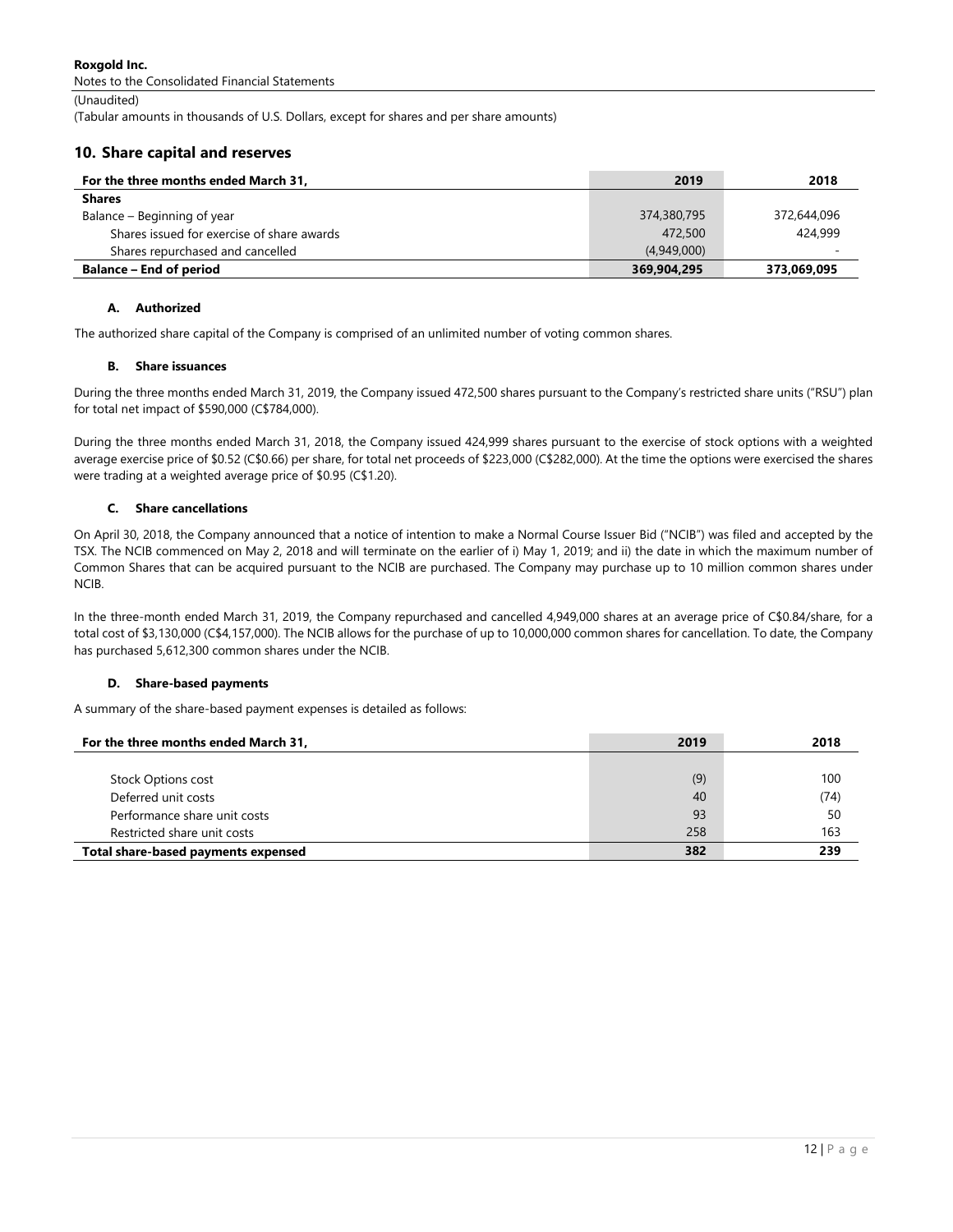# **10. Share capital and reserves**

| For the three months ended March 31,       | 2019        | 2018        |
|--------------------------------------------|-------------|-------------|
| <b>Shares</b>                              |             |             |
| Balance – Beginning of year                | 374,380,795 | 372,644,096 |
| Shares issued for exercise of share awards | 472,500     | 424.999     |
| Shares repurchased and cancelled           | (4,949,000) | -           |
| <b>Balance – End of period</b>             | 369,904,295 | 373,069,095 |

#### **A. Authorized**

The authorized share capital of the Company is comprised of an unlimited number of voting common shares.

#### **B. Share issuances**

During the three months ended March 31, 2019, the Company issued 472,500 shares pursuant to the Company's restricted share units ("RSU") plan for total net impact of \$590,000 (C\$784,000).

During the three months ended March 31, 2018, the Company issued 424,999 shares pursuant to the exercise of stock options with a weighted average exercise price of \$0.52 (C\$0.66) per share, for total net proceeds of \$223,000 (C\$282,000). At the time the options were exercised the shares were trading at a weighted average price of \$0.95 (C\$1.20).

#### **C. Share cancellations**

On April 30, 2018, the Company announced that a notice of intention to make a Normal Course Issuer Bid ("NCIB") was filed and accepted by the TSX. The NCIB commenced on May 2, 2018 and will terminate on the earlier of i) May 1, 2019; and ii) the date in which the maximum number of Common Shares that can be acquired pursuant to the NCIB are purchased. The Company may purchase up to 10 million common shares under NCIB.

In the three-month ended March 31, 2019, the Company repurchased and cancelled 4,949,000 shares at an average price of C\$0.84/share, for a total cost of \$3,130,000 (C\$4,157,000). The NCIB allows for the purchase of up to 10,000,000 common shares for cancellation. To date, the Company has purchased 5,612,300 common shares under the NCIB.

#### **D. Share-based payments**

A summary of the share-based payment expenses is detailed as follows:

| For the three months ended March 31, | 2019 | 2018 |
|--------------------------------------|------|------|
|                                      |      |      |
| <b>Stock Options cost</b>            | (9)  | 100  |
| Deferred unit costs                  | 40   | (74) |
| Performance share unit costs         | 93   | 50   |
| Restricted share unit costs          | 258  | 163  |
| Total share-based payments expensed  | 382  | 239  |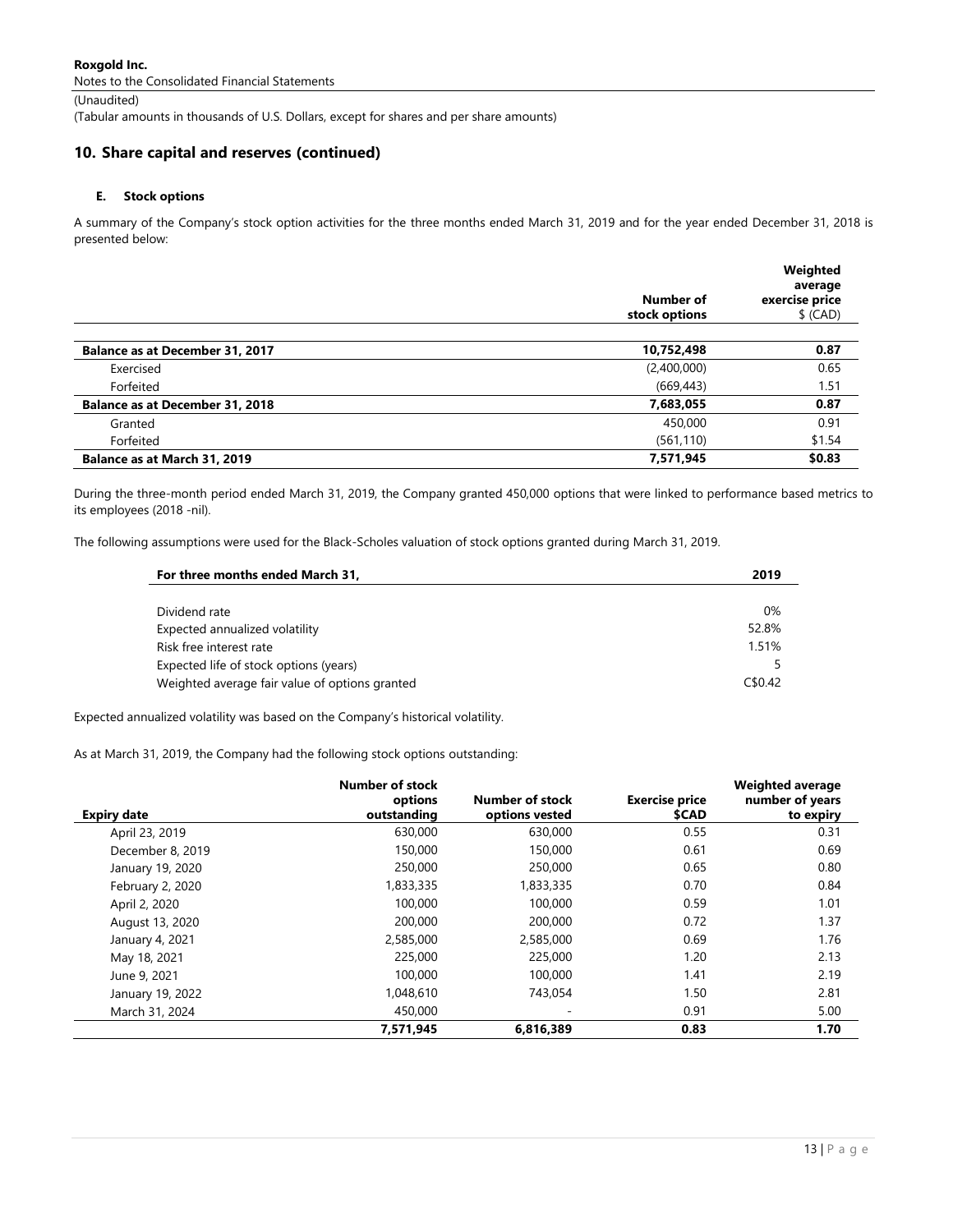(Tabular amounts in thousands of U.S. Dollars, except for shares and per share amounts)

# **10. Share capital and reserves (continued)**

#### **E. Stock options**

A summary of the Company's stock option activities for the three months ended March 31, 2019 and for the year ended December 31, 2018 is presented below:

|                                        |                            | Weighted                               |
|----------------------------------------|----------------------------|----------------------------------------|
|                                        | Number of<br>stock options | average<br>exercise price<br>$$$ (CAD) |
| <b>Balance as at December 31, 2017</b> | 10,752,498                 | 0.87                                   |
| Exercised                              | (2,400,000)                | 0.65                                   |
| Forfeited                              | (669, 443)                 | 1.51                                   |
| <b>Balance as at December 31, 2018</b> | 7,683,055                  | 0.87                                   |
| Granted                                | 450,000                    | 0.91                                   |
| Forfeited                              | (561, 110)                 | \$1.54                                 |
| Balance as at March 31, 2019           | 7,571,945                  | \$0.83                                 |

During the three-month period ended March 31, 2019, the Company granted 450,000 options that were linked to performance based metrics to its employees (2018 -nil).

The following assumptions were used for the Black-Scholes valuation of stock options granted during March 31, 2019.

| For three months ended March 31,               | 2019    |
|------------------------------------------------|---------|
|                                                |         |
| Dividend rate                                  | 0%      |
| Expected annualized volatility                 | 52.8%   |
| Risk free interest rate                        | 1.51%   |
| Expected life of stock options (years)         |         |
| Weighted average fair value of options granted | C\$0.42 |

Expected annualized volatility was based on the Company's historical volatility.

As at March 31, 2019, the Company had the following stock options outstanding:

| <b>Expiry date</b> | Number of stock<br>options<br>outstanding | Number of stock<br>options vested | <b>Exercise price</b><br><b>SCAD</b> | <b>Weighted average</b><br>number of years<br>to expiry |
|--------------------|-------------------------------------------|-----------------------------------|--------------------------------------|---------------------------------------------------------|
| April 23, 2019     | 630,000                                   | 630,000                           | 0.55                                 | 0.31                                                    |
| December 8, 2019   | 150,000                                   | 150,000                           | 0.61                                 | 0.69                                                    |
| January 19, 2020   | 250,000                                   | 250,000                           | 0.65                                 | 0.80                                                    |
| February 2, 2020   | 1,833,335                                 | 1,833,335                         | 0.70                                 | 0.84                                                    |
| April 2, 2020      | 100,000                                   | 100,000                           | 0.59                                 | 1.01                                                    |
| August 13, 2020    | 200,000                                   | 200,000                           | 0.72                                 | 1.37                                                    |
| January 4, 2021    | 2,585,000                                 | 2,585,000                         | 0.69                                 | 1.76                                                    |
| May 18, 2021       | 225,000                                   | 225,000                           | 1.20                                 | 2.13                                                    |
| June 9, 2021       | 100,000                                   | 100,000                           | 1.41                                 | 2.19                                                    |
| January 19, 2022   | 1,048,610                                 | 743,054                           | 1.50                                 | 2.81                                                    |
| March 31, 2024     | 450,000                                   | ٠                                 | 0.91                                 | 5.00                                                    |
|                    | 7,571,945                                 | 6,816,389                         | 0.83                                 | 1.70                                                    |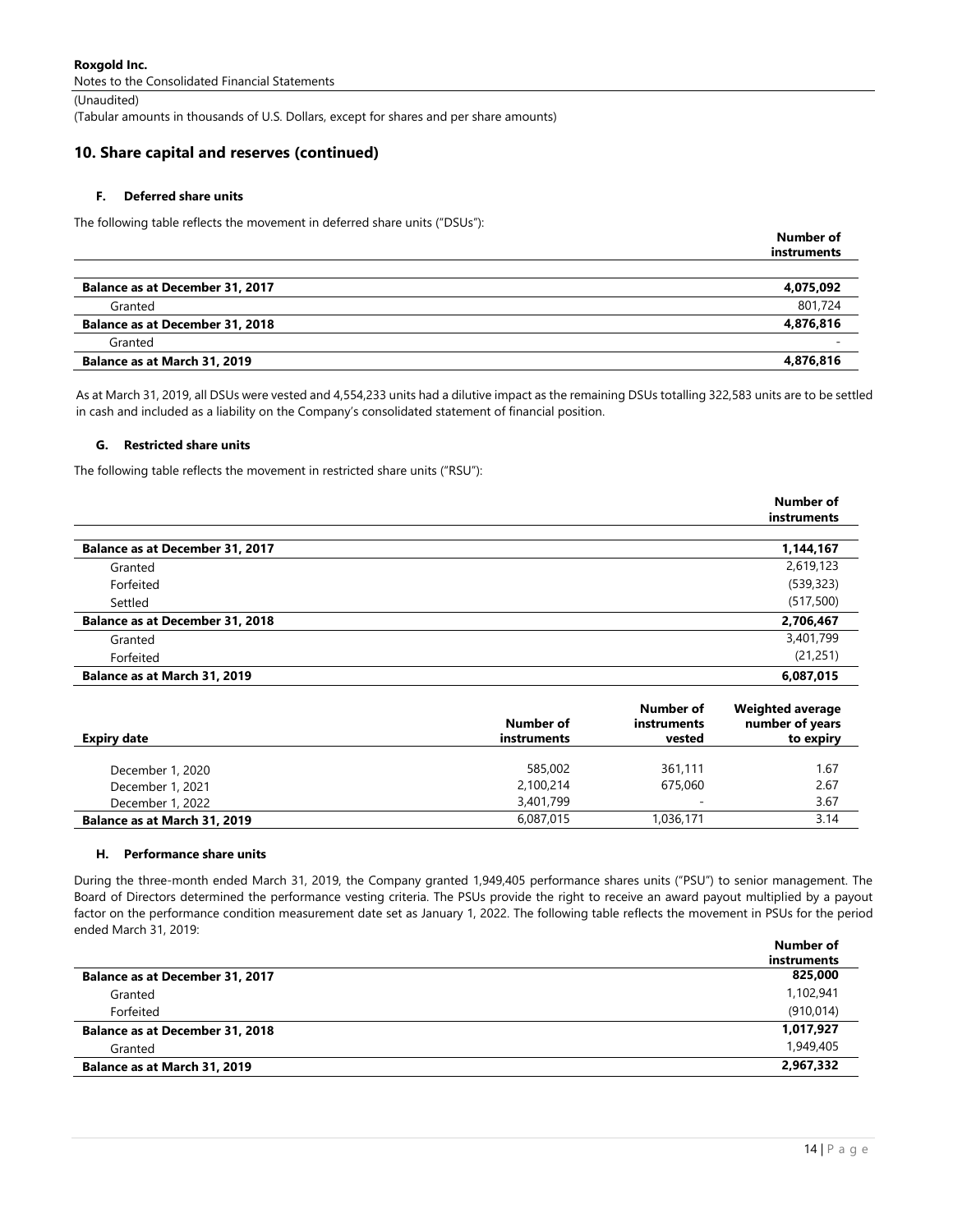(Tabular amounts in thousands of U.S. Dollars, except for shares and per share amounts)

# **10. Share capital and reserves (continued)**

### **F. Deferred share units**

The following table reflects the movement in deferred share units ("DSUs"):

|                                        | instruments              |
|----------------------------------------|--------------------------|
|                                        |                          |
| <b>Balance as at December 31, 2017</b> | 4,075,092                |
| Granted                                | 801.724                  |
| <b>Balance as at December 31, 2018</b> | 4,876,816                |
| Granted                                | $\overline{\phantom{a}}$ |
| Balance as at March 31, 2019           | 4,876,816                |

As at March 31, 2019, all DSUs were vested and 4,554,233 units had a dilutive impact as the remaining DSUs totalling 322,583 units are to be settled in cash and included as a liability on the Company's consolidated statement of financial position.

#### **G. Restricted share units**

The following table reflects the movement in restricted share units ("RSU"):

|                                        | Number of<br>instruments |
|----------------------------------------|--------------------------|
| <b>Balance as at December 31, 2017</b> | 1,144,167                |
| Granted                                | 2,619,123                |
| Forfeited                              | (539, 323)               |
| Settled                                | (517,500)                |
| <b>Balance as at December 31, 2018</b> | 2,706,467                |
| Granted                                | 3,401,799                |
| Forfeited                              | (21, 251)                |
| Balance as at March 31, 2019           | 6,087,015                |

| Expiry date                  | Number of<br>instruments | Number of<br>instruments<br>vested | <b>Weighted average</b><br>number of years<br>to expiry |
|------------------------------|--------------------------|------------------------------------|---------------------------------------------------------|
| December 1, 2020             | 585,002                  | 361,111                            | 1.67                                                    |
| December 1, 2021             | 2,100,214                | 675,060                            | 2.67                                                    |
| December 1, 2022             | 3,401,799                |                                    | 3.67                                                    |
| Balance as at March 31, 2019 | 6,087,015                | 1,036,171                          | 3.14                                                    |

#### **H. Performance share units**

During the three-month ended March 31, 2019, the Company granted 1,949,405 performance shares units ("PSU") to senior management. The Board of Directors determined the performance vesting criteria. The PSUs provide the right to receive an award payout multiplied by a payout factor on the performance condition measurement date set as January 1, 2022. The following table reflects the movement in PSUs for the period ended March 31, 2019:

|                                        | Number of   |
|----------------------------------------|-------------|
|                                        | instruments |
| <b>Balance as at December 31, 2017</b> | 825,000     |
| Granted                                | 1,102,941   |
| Forfeited                              | (910, 014)  |
| <b>Balance as at December 31, 2018</b> | 1,017,927   |
| Granted                                | 1,949,405   |
| Balance as at March 31, 2019           | 2,967,332   |

**Number of**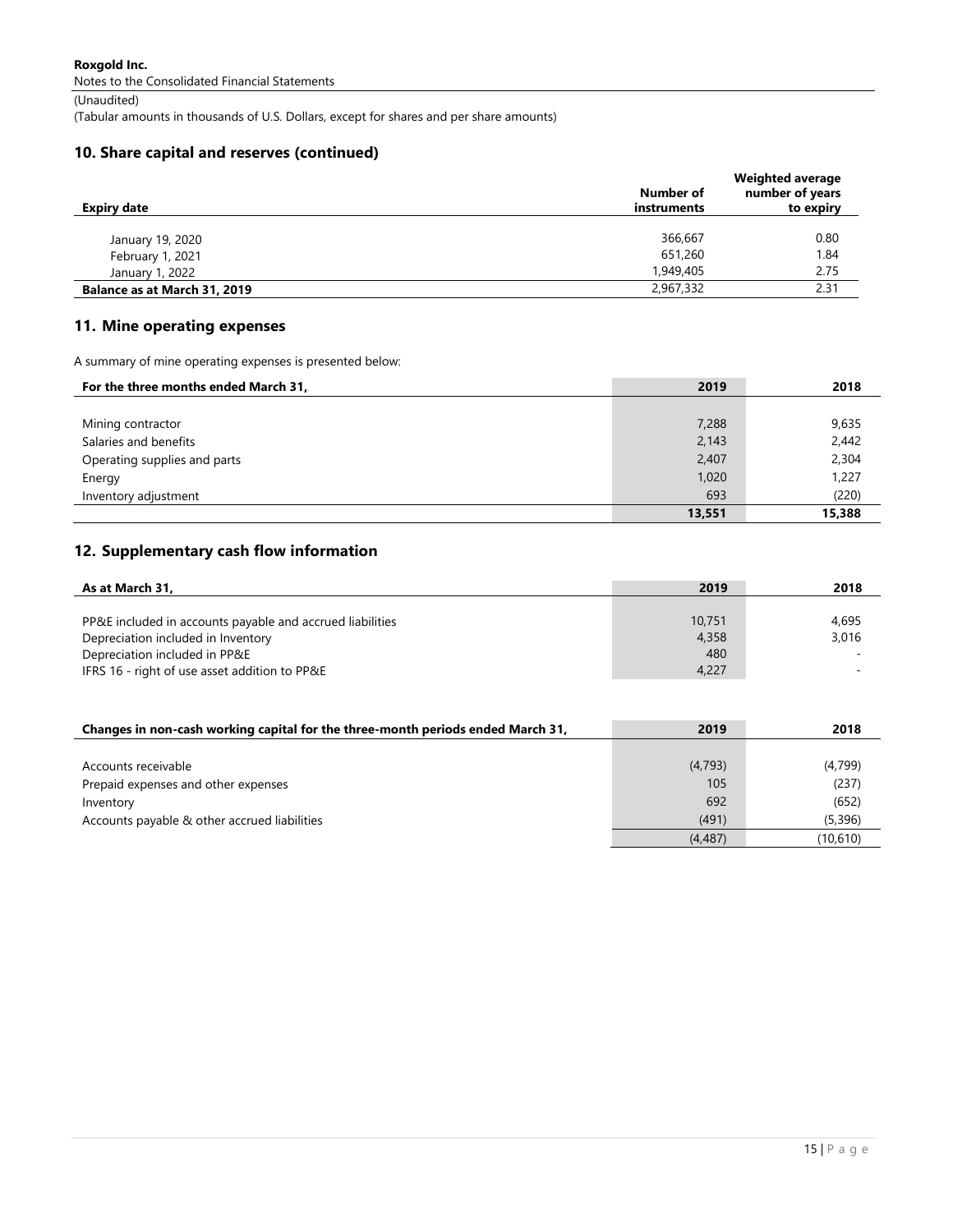# **10. Share capital and reserves (continued)**

| <b>Expiry date</b>           | Number of<br>instruments | <b>Weighted average</b><br>number of years<br>to expiry |
|------------------------------|--------------------------|---------------------------------------------------------|
| January 19, 2020             | 366,667                  | 0.80                                                    |
| February 1, 2021             | 651,260                  | 1.84                                                    |
| January 1, 2022              | 1.949.405                | 2.75                                                    |
| Balance as at March 31, 2019 | 2,967,332                | 2.31                                                    |

# **11. Mine operating expenses**

A summary of mine operating expenses is presented below:

| For the three months ended March 31, | 2019   | 2018   |
|--------------------------------------|--------|--------|
|                                      |        |        |
| Mining contractor                    | 7,288  | 9,635  |
| Salaries and benefits                | 2,143  | 2,442  |
| Operating supplies and parts         | 2,407  | 2,304  |
| Energy                               | 1,020  | 1,227  |
| Inventory adjustment                 | 693    | (220)  |
|                                      | 13,551 | 15,388 |

# **12. Supplementary cash flow information**

| As at March 31.                                           | 2019   | 2018  |
|-----------------------------------------------------------|--------|-------|
|                                                           |        |       |
| PP&E included in accounts payable and accrued liabilities | 10.751 | 4.695 |
| Depreciation included in Inventory                        | 4,358  | 3.016 |
| Depreciation included in PP&E                             | 480    |       |
| IFRS 16 - right of use asset addition to PP&E             | 4,227  |       |

| Changes in non-cash working capital for the three-month periods ended March 31, | 2019     | 2018     |
|---------------------------------------------------------------------------------|----------|----------|
|                                                                                 |          |          |
| Accounts receivable                                                             | (4, 793) | (4,799)  |
| Prepaid expenses and other expenses                                             | 105      | (237)    |
| Inventory                                                                       | 692      | (652)    |
| Accounts payable & other accrued liabilities                                    | (491)    | (5,396)  |
|                                                                                 | (4, 487) | (10.610) |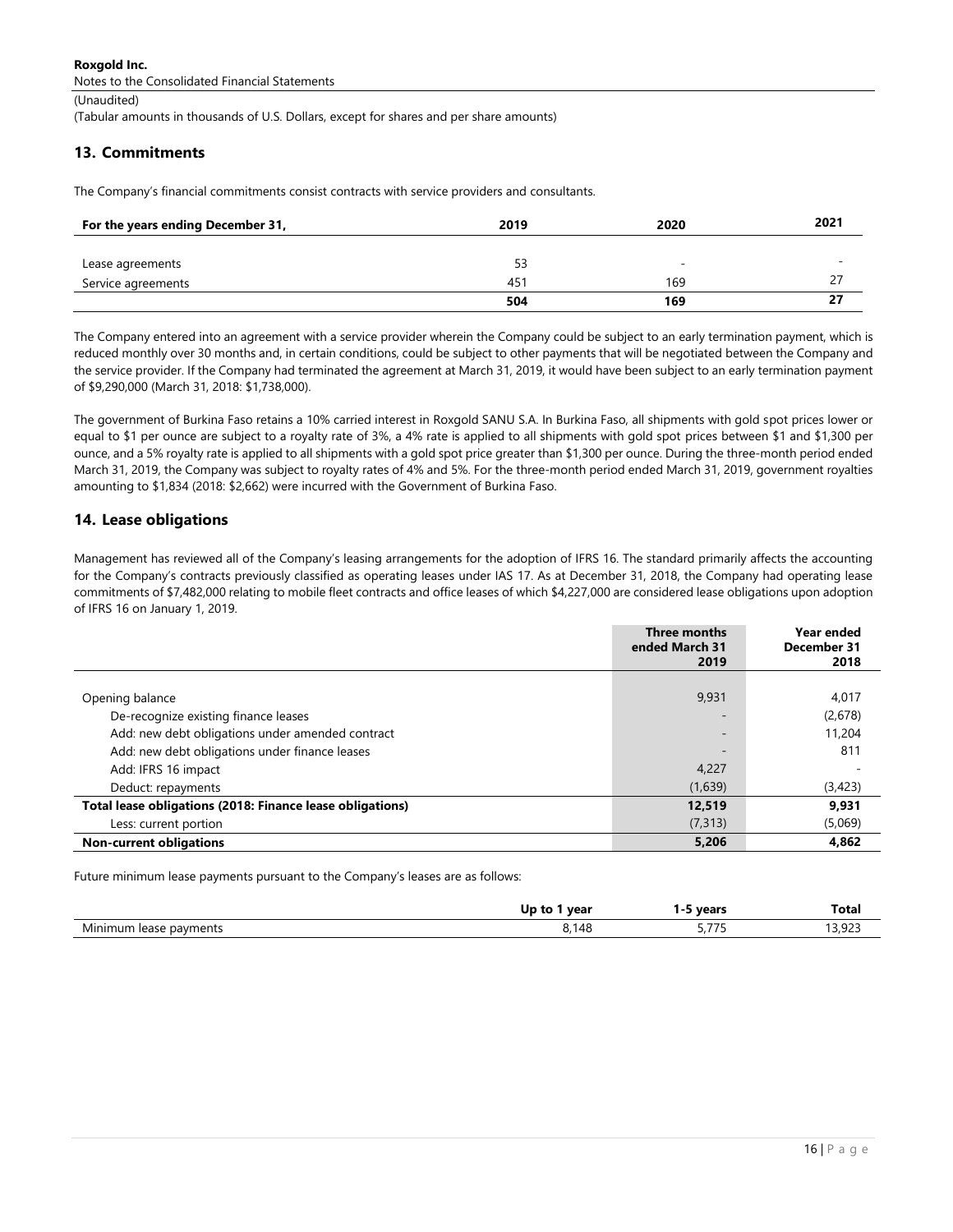# **13. Commitments**

The Company's financial commitments consist contracts with service providers and consultants.

| For the years ending December 31, | 2019 | 2020                     | 2021 |
|-----------------------------------|------|--------------------------|------|
|                                   |      |                          |      |
| Lease agreements                  | 53   | $\overline{\phantom{a}}$ |      |
| Service agreements                | 451  | 169                      |      |
|                                   | 504  | 169                      |      |

The Company entered into an agreement with a service provider wherein the Company could be subject to an early termination payment, which is reduced monthly over 30 months and, in certain conditions, could be subject to other payments that will be negotiated between the Company and the service provider. If the Company had terminated the agreement at March 31, 2019, it would have been subject to an early termination payment of \$9,290,000 (March 31, 2018: \$1,738,000).

The government of Burkina Faso retains a 10% carried interest in Roxgold SANU S.A. In Burkina Faso, all shipments with gold spot prices lower or equal to \$1 per ounce are subject to a royalty rate of 3%, a 4% rate is applied to all shipments with gold spot prices between \$1 and \$1,300 per ounce, and a 5% royalty rate is applied to all shipments with a gold spot price greater than \$1,300 per ounce. During the three-month period ended March 31, 2019, the Company was subject to royalty rates of 4% and 5%. For the three-month period ended March 31, 2019, government royalties amounting to \$1,834 (2018: \$2,662) were incurred with the Government of Burkina Faso.

# **14. Lease obligations**

Management has reviewed all of the Company's leasing arrangements for the adoption of IFRS 16. The standard primarily affects the accounting for the Company's contracts previously classified as operating leases under IAS 17. As at December 31, 2018, the Company had operating lease commitments of \$7,482,000 relating to mobile fleet contracts and office leases of which \$4,227,000 are considered lease obligations upon adoption of IFRS 16 on January 1, 2019.

|                                                           | <b>Three months</b><br>ended March 31<br>2019 | Year ended<br>December 31<br>2018 |
|-----------------------------------------------------------|-----------------------------------------------|-----------------------------------|
|                                                           |                                               |                                   |
| Opening balance                                           | 9,931                                         | 4,017                             |
| De-recognize existing finance leases                      | $\overline{\phantom{a}}$                      | (2,678)                           |
| Add: new debt obligations under amended contract          | $\overline{\phantom{a}}$                      | 11.204                            |
| Add: new debt obligations under finance leases            | $\overline{\phantom{a}}$                      | 811                               |
| Add: IFRS 16 impact                                       | 4,227                                         |                                   |
| Deduct: repayments                                        | (1,639)                                       | (3,423)                           |
| Total lease obligations (2018: Finance lease obligations) | 12,519                                        | 9,931                             |
| Less: current portion                                     | (7, 313)                                      | (5,069)                           |
| <b>Non-current obligations</b>                            | 5,206                                         | 4.862                             |

Future minimum lease payments pursuant to the Company's leases are as follows:

|                                        | vear<br>Ur<br>$ -$    | vears<br>.<br>.          | $\frac{1}{2} \left( \frac{1}{2} \right) \left( \frac{1}{2} \right) \left( \frac{1}{2} \right) \left( \frac{1}{2} \right) \left( \frac{1}{2} \right) \left( \frac{1}{2} \right) \left( \frac{1}{2} \right) \left( \frac{1}{2} \right) \left( \frac{1}{2} \right) \left( \frac{1}{2} \right) \left( \frac{1}{2} \right) \left( \frac{1}{2} \right) \left( \frac{1}{2} \right) \left( \frac{1}{2} \right) \left( \frac{1}{2} \right) \left( \frac{1}{2} \right) \left( \frac$<br>Total |
|----------------------------------------|-----------------------|--------------------------|-------------------------------------------------------------------------------------------------------------------------------------------------------------------------------------------------------------------------------------------------------------------------------------------------------------------------------------------------------------------------------------------------------------------------------------------------------------------------------------|
| .<br>payments<br>nımun<br>Mır<br>lease | 148<br>ັບເປ<br>$\sim$ | -----<br>. .<br><u>.</u> | $\sim$ $\sim$ $\sim$<br>د ع د , د                                                                                                                                                                                                                                                                                                                                                                                                                                                   |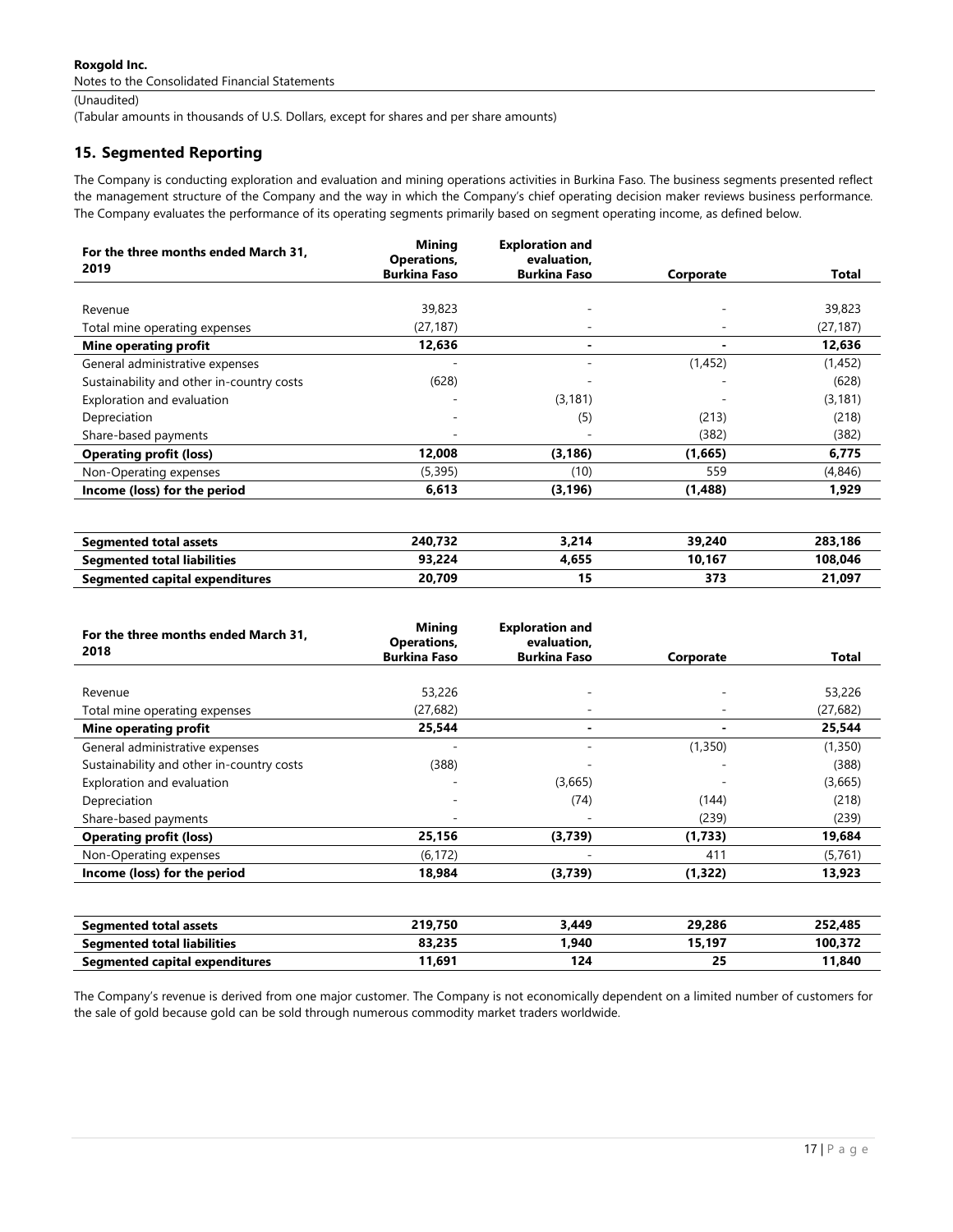(Tabular amounts in thousands of U.S. Dollars, except for shares and per share amounts)

# **15. Segmented Reporting**

The Company is conducting exploration and evaluation and mining operations activities in Burkina Faso. The business segments presented reflect the management structure of the Company and the way in which the Company's chief operating decision maker reviews business performance. The Company evaluates the performance of its operating segments primarily based on segment operating income, as defined below.

| For the three months ended March 31.      | Minina<br><b>Operations,</b> | <b>Exploration and</b><br>evaluation. |           |              |
|-------------------------------------------|------------------------------|---------------------------------------|-----------|--------------|
| 2019                                      | <b>Burkina Faso</b>          | <b>Burkina Faso</b>                   | Corporate | <b>Total</b> |
| Revenue                                   | 39,823                       |                                       |           | 39,823       |
| Total mine operating expenses             | (27, 187)                    |                                       |           | (27, 187)    |
| Mine operating profit                     | 12,636                       |                                       |           | 12,636       |
| General administrative expenses           |                              |                                       | (1,452)   | (1, 452)     |
| Sustainability and other in-country costs | (628)                        |                                       |           | (628)        |
| Exploration and evaluation                |                              | (3, 181)                              |           | (3, 181)     |
| Depreciation                              |                              | (5)                                   | (213)     | (218)        |
| Share-based payments                      |                              |                                       | (382)     | (382)        |
| <b>Operating profit (loss)</b>            | 12,008                       | (3, 186)                              | (1,665)   | 6,775        |
| Non-Operating expenses                    | (5, 395)                     | (10)                                  | 559       | (4,846)      |
| Income (loss) for the period              | 6,613                        | (3, 196)                              | (1,488)   | 1,929        |

| Segmented total assets         | 240.732 | 3.214 | 39,240 | 283.186 |
|--------------------------------|---------|-------|--------|---------|
| Segmented total liabilities    | 93.224  | 4.655 | 10.167 | 108.046 |
| Segmented capital expenditures | 20.709  |       | 373    | 21.097  |

| For the three months ended March 31,      | <b>Mining</b><br><b>Operations,</b> | <b>Exploration and</b><br>evaluation, |           |              |
|-------------------------------------------|-------------------------------------|---------------------------------------|-----------|--------------|
| 2018                                      | <b>Burkina Faso</b>                 | <b>Burkina Faso</b>                   | Corporate | <b>Total</b> |
| Revenue                                   | 53,226                              |                                       |           | 53,226       |
| Total mine operating expenses             | (27,682)                            |                                       |           | (27, 682)    |
| Mine operating profit                     | 25,544                              |                                       |           | 25,544       |
| General administrative expenses           |                                     |                                       | (1,350)   | (1,350)      |
| Sustainability and other in-country costs | (388)                               |                                       |           | (388)        |
| Exploration and evaluation                |                                     | (3,665)                               |           | (3,665)      |
| Depreciation                              |                                     | (74)                                  | (144)     | (218)        |
| Share-based payments                      |                                     |                                       | (239)     | (239)        |
| <b>Operating profit (loss)</b>            | 25,156                              | (3,739)                               | (1,733)   | 19,684       |
| Non-Operating expenses                    | (6, 172)                            |                                       | 411       | (5,761)      |
| Income (loss) for the period              | 18,984                              | (3,739)                               | (1,322)   | 13,923       |
| <b>Segmented total assets</b>             | 219,750                             | 3,449                                 | 29,286    | 252,485      |
| <b>Segmented total liabilities</b>        | 83,235                              | 1,940                                 | 15,197    | 100,372      |
| <b>Segmented capital expenditures</b>     | 11,691                              | 124                                   | 25        | 11,840       |

The Company's revenue is derived from one major customer. The Company is not economically dependent on a limited number of customers for the sale of gold because gold can be sold through numerous commodity market traders worldwide.